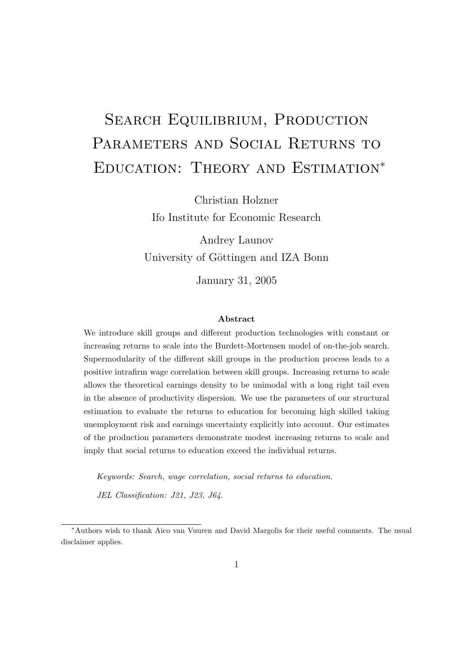# SEARCH EQUILIBRIUM, PRODUCTION PARAMETERS AND SOCIAL RETURNS TO Education: Theory and Estimation<sup>∗</sup>

Christian Holzner Ifo Institute for Economic Research

Andrey Launov University of Göttingen and IZA Bonn

January 31, 2005

#### Abstract

We introduce skill groups and different production technologies with constant or increasing returns to scale into the Burdett-Mortensen model of on-the-job search. Supermodularity of the different skill groups in the production process leads to a positive intrafirm wage correlation between skill groups. Increasing returns to scale allows the theoretical earnings density to be unimodal with a long right tail even in the absence of productivity dispersion. We use the parameters of our structural estimation to evaluate the returns to education for becoming high skilled taking unemployment risk and earnings uncertainty explicitly into account. Our estimates of the production parameters demonstrate modest increasing returns to scale and imply that social returns to education exceed the individual returns.

Keywords: Search, wage correlation, social returns to education. JEL Classification: J21, J23, J64.

disclaimer applies.

<sup>∗</sup>Authors wish to thank Aico van Vuuren and David Margolis for their useful comments. The usual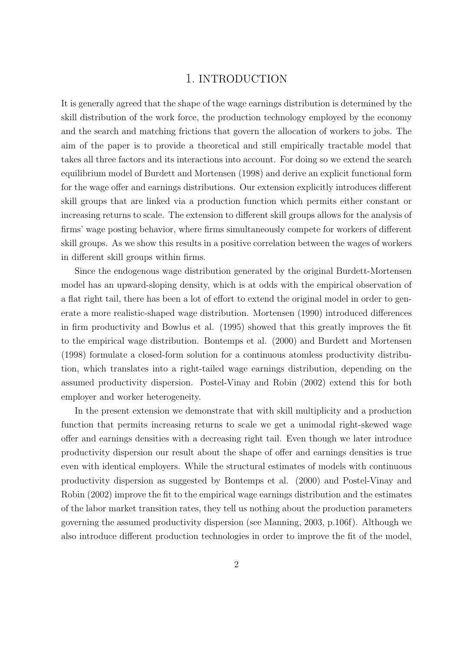## 1. INTRODUCTION

It is generally agreed that the shape of the wage earnings distribution is determined by the skill distribution of the work force, the production technology employed by the economy and the search and matching frictions that govern the allocation of workers to jobs. The aim of the paper is to provide a theoretical and still empirically tractable model that takes all three factors and its interactions into account. For doing so we extend the search equilibrium model of Burdett and Mortensen (1998) and derive an explicit functional form for the wage offer and earnings distributions. Our extension explicitly introduces different skill groups that are linked via a production function which permits either constant or increasing returns to scale. The extension to different skill groups allows for the analysis of firms' wage posting behavior, where firms simultaneously compete for workers of different skill groups. As we show this results in a positive correlation between the wages of workers in different skill groups within firms.

Since the endogenous wage distribution generated by the original Burdett-Mortensen model has an upward-sloping density, which is at odds with the empirical observation of a flat right tail, there has been a lot of effort to extend the original model in order to generate a more realistic-shaped wage distribution. Mortensen (1990) introduced differences in firm productivity and Bowlus et al. (1995) showed that this greatly improves the fit to the empirical wage distribution. Bontemps et al. (2000) and Burdett and Mortensen (1998) formulate a closed-form solution for a continuous atomless productivity distribution, which translates into a right-tailed wage earnings distribution, depending on the assumed productivity dispersion. Postel-Vinay and Robin (2002) extend this for both employer and worker heterogeneity.

In the present extension we demonstrate that with skill multiplicity and a production function that permits increasing returns to scale we get a unimodal right-skewed wage offer and earnings densities with a decreasing right tail. Even though we later introduce productivity dispersion our result about the shape of offer and earnings densities is true even with identical employers. While the structural estimates of models with continuous productivity dispersion as suggested by Bontemps et al. (2000) and Postel-Vinay and Robin (2002) improve the fit to the empirical wage earnings distribution and the estimates of the labor market transition rates, they tell us nothing about the production parameters governing the assumed productivity dispersion (see Manning, 2003, p.106f). Although we also introduce different production technologies in order to improve the fit of the model,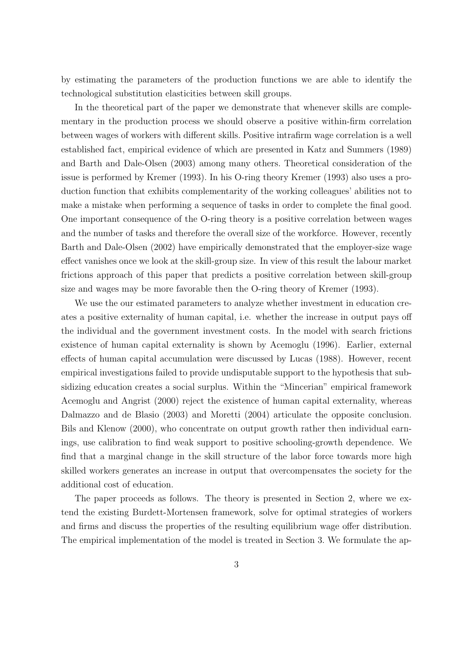by estimating the parameters of the production functions we are able to identify the technological substitution elasticities between skill groups.

In the theoretical part of the paper we demonstrate that whenever skills are complementary in the production process we should observe a positive within-firm correlation between wages of workers with different skills. Positive intrafirm wage correlation is a well established fact, empirical evidence of which are presented in Katz and Summers (1989) and Barth and Dale-Olsen (2003) among many others. Theoretical consideration of the issue is performed by Kremer (1993). In his O-ring theory Kremer (1993) also uses a production function that exhibits complementarity of the working colleagues' abilities not to make a mistake when performing a sequence of tasks in order to complete the final good. One important consequence of the O-ring theory is a positive correlation between wages and the number of tasks and therefore the overall size of the workforce. However, recently Barth and Dale-Olsen (2002) have empirically demonstrated that the employer-size wage effect vanishes once we look at the skill-group size. In view of this result the labour market frictions approach of this paper that predicts a positive correlation between skill-group size and wages may be more favorable then the O-ring theory of Kremer (1993).

We use the our estimated parameters to analyze whether investment in education creates a positive externality of human capital, i.e. whether the increase in output pays off the individual and the government investment costs. In the model with search frictions existence of human capital externality is shown by Acemoglu (1996). Earlier, external effects of human capital accumulation were discussed by Lucas (1988). However, recent empirical investigations failed to provide undisputable support to the hypothesis that subsidizing education creates a social surplus. Within the "Mincerian" empirical framework Acemoglu and Angrist (2000) reject the existence of human capital externality, whereas Dalmazzo and de Blasio (2003) and Moretti (2004) articulate the opposite conclusion. Bils and Klenow (2000), who concentrate on output growth rather then individual earnings, use calibration to find weak support to positive schooling-growth dependence. We find that a marginal change in the skill structure of the labor force towards more high skilled workers generates an increase in output that overcompensates the society for the additional cost of education.

The paper proceeds as follows. The theory is presented in Section 2, where we extend the existing Burdett-Mortensen framework, solve for optimal strategies of workers and firms and discuss the properties of the resulting equilibrium wage offer distribution. The empirical implementation of the model is treated in Section 3. We formulate the ap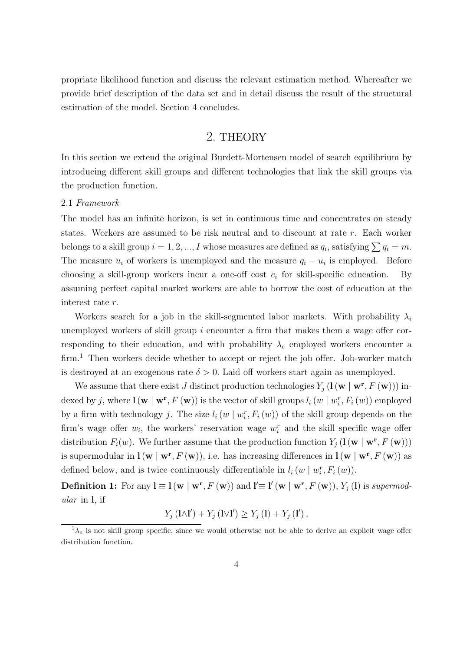propriate likelihood function and discuss the relevant estimation method. Whereafter we provide brief description of the data set and in detail discuss the result of the structural estimation of the model. Section 4 concludes.

## 2. THEORY

In this section we extend the original Burdett-Mortensen model of search equilibrium by introducing different skill groups and different technologies that link the skill groups via the production function.

#### 2.1 Framework

The model has an infinite horizon, is set in continuous time and concentrates on steady states. Workers are assumed to be risk neutral and to discount at rate r. Each worker belongs to a skill group  $i = 1, 2, ..., I$  whose measures are defined as  $q_i$ , satisfying  $\sum q_i = m$ . The measure  $u_i$  of workers is unemployed and the measure  $q_i - u_i$  is employed. Before choosing a skill-group workers incur a one-off cost  $c_i$  for skill-specific education. By assuming perfect capital market workers are able to borrow the cost of education at the interest rate r.

Workers search for a job in the skill-segmented labor markets. With probability  $\lambda_i$ unemployed workers of skill group  $i$  encounter a firm that makes them a wage offer corresponding to their education, and with probability  $\lambda_e$  employed workers encounter a firm.<sup>1</sup> Then workers decide whether to accept or reject the job offer. Job-worker match is destroyed at an exogenous rate  $\delta > 0$ . Laid off workers start again as unemployed.

We assume that there exist J distinct production technologies  $Y_j(\mathbf{l}(\mathbf{w} \mid \mathbf{w^r}, F(\mathbf{w})))$  indexed by j, where  $\mathbf{l}(\mathbf{w} \mid \mathbf{w^r}, F(\mathbf{w}))$  is the vector of skill groups  $l_i(w \mid w_i^r, F_i(w))$  employed by a firm with technology *j*. The size  $l_i(w \mid w_i^r, F_i(w))$  of the skill group depends on the firm's wage offer  $w_i$ , the workers' reservation wage  $w_i^r$  and the skill specific wage offer distribution  $F_i(w)$ . We further assume that the production function  $Y_j(\mathbf{l}(\mathbf{w} \mid \mathbf{w}^r, F(\mathbf{w})))$ is supermodular in  $\mathbf{l}(\mathbf{w} | \mathbf{w}^{\mathbf{r}}, F(\mathbf{w}))$ , i.e. has increasing differences in  $\mathbf{l}(\mathbf{w} | \mathbf{w}^{\mathbf{r}}, F(\mathbf{w}))$  as defined below, and is twice continuously differentiable in  $l_i(w | w_i^r, F_i(w))$ .

**Definition 1:** For any  $\mathbf{l} \equiv \mathbf{l}(\mathbf{w} \mid \mathbf{w}^{\mathbf{r}}, F(\mathbf{w}))$  and  $\mathbf{l}' \equiv \mathbf{l}'(\mathbf{w} \mid \mathbf{w}^{\mathbf{r}}, F(\mathbf{w})), Y_j(\mathbf{l})$  is supermodular in l, if

$$
Y_j\left(\mathbf{l}\wedge\mathbf{l}'\right) + Y_j\left(\mathbf{l}\vee\mathbf{l}'\right) \ge Y_j\left(\mathbf{l}\right) + Y_j\left(\mathbf{l}'\right),
$$

 $1_{\lambda_e}$  is not skill group specific, since we would otherwise not be able to derive an explicit wage offer distribution function.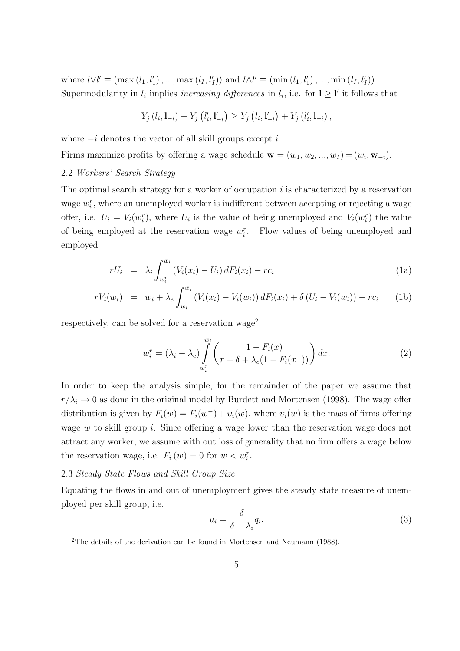where  $l \vee l' \equiv (\max(l_1, l'_1), ..., \max(l_I, l'_I))$  and  $l \wedge l' \equiv (\min(l_1, l'_1), ..., \min(l_I, l'_I)).$ Supermodularity in  $l_i$  implies *increasing differences* in  $l_i$ , i.e. for  $l \geq l'$  it follows that

$$
Y_j(l_i, l_{-i}) + Y_j(l'_i, l'_{-i}) \ge Y_j(l_i, l'_{-i}) + Y_j(l'_i, l_{-i}),
$$

where  $-i$  denotes the vector of all skill groups except i.

Firms maximize profits by offering a wage schedule  $\mathbf{w} = (w_1, w_2, ..., w_I) = (w_i, \mathbf{w}_{-i}).$ 

#### 2.2 Workers' Search Strategy

The optimal search strategy for a worker of occupation  $i$  is characterized by a reservation wage  $w_i^r$ , where an unemployed worker is indifferent between accepting or rejecting a wage offer, i.e.  $U_i = V_i(w_i^r)$ , where  $U_i$  is the value of being unemployed and  $V_i(w_i^r)$  the value of being employed at the reservation wage  $w_i^r$ . Flow values of being unemployed and employed

$$
rU_i = \lambda_i \int_{w_i^r}^{\bar{w}_i} (V_i(x_i) - U_i) dF_i(x_i) - rc_i
$$
\n(1a)

$$
rV_i(w_i) = w_i + \lambda_e \int_{w_i}^{w_i} (V_i(x_i) - V_i(w_i)) dF_i(x_i) + \delta (U_i - V_i(w_i)) - rc_i
$$
 (1b)

respectively, can be solved for a reservation wage<sup>2</sup>

$$
w_i^r = (\lambda_i - \lambda_e) \int_{w_i^r}^{\bar{w}_i} \left( \frac{1 - F_i(x)}{r + \delta + \lambda_e(1 - F_i(x^-))} \right) dx.
$$
 (2)

In order to keep the analysis simple, for the remainder of the paper we assume that  $r/\lambda_i \rightarrow 0$  as done in the original model by Burdett and Mortensen (1998). The wage offer distribution is given by  $F_i(w) = F_i(w^-) + v_i(w)$ , where  $v_i(w)$  is the mass of firms offering wage w to skill group i. Since offering a wage lower than the reservation wage does not attract any worker, we assume with out loss of generality that no firm offers a wage below the reservation wage, i.e.  $F_i(w) = 0$  for  $w < w_i^r$ .

#### 2.3 Steady State Flows and Skill Group Size

Equating the flows in and out of unemployment gives the steady state measure of unemployed per skill group, i.e.

$$
u_i = \frac{\delta}{\delta + \lambda_i} q_i.
$$
\n(3)

<sup>2</sup>The details of the derivation can be found in Mortensen and Neumann (1988).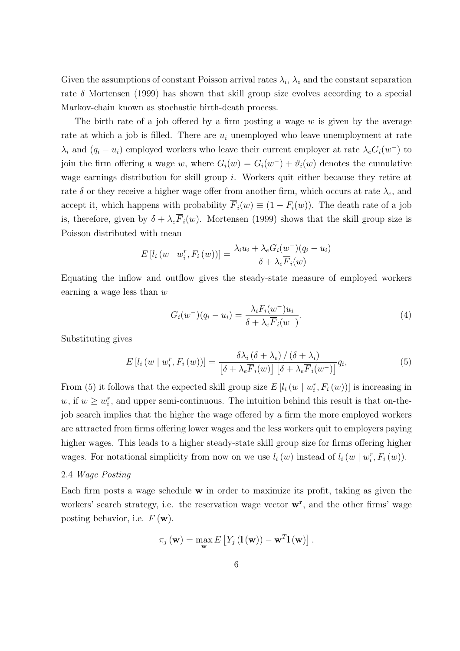Given the assumptions of constant Poisson arrival rates  $\lambda_i$ ,  $\lambda_e$  and the constant separation rate  $\delta$  Mortensen (1999) has shown that skill group size evolves according to a special Markov-chain known as stochastic birth-death process.

The birth rate of a job offered by a firm posting a wage  $w$  is given by the average rate at which a job is filled. There are  $u_i$  unemployed who leave unemployment at rate  $\lambda_i$  and  $(q_i - u_i)$  employed workers who leave their current employer at rate  $\lambda_e G_i(w^-)$  to join the firm offering a wage w, where  $G_i(w) = G_i(w^-) + \vartheta_i(w)$  denotes the cumulative wage earnings distribution for skill group  $i$ . Workers quit either because they retire at rate  $\delta$  or they receive a higher wage offer from another firm, which occurs at rate  $\lambda_e$ , and accept it, which happens with probability  $\overline{F}_i(w) \equiv (1 - F_i(w))$ . The death rate of a job is, therefore, given by  $\delta + \lambda_e \overline{F}_i(w)$ . Mortensen (1999) shows that the skill group size is Poisson distributed with mean

$$
E\left[l_i\left(w \mid w_i^r, F_i\left(w\right)\right)\right] = \frac{\lambda_i u_i + \lambda_e G_i(w^-)(q_i - u_i)}{\delta + \lambda_e \overline{F}_i(w)}
$$

Equating the inflow and outflow gives the steady-state measure of employed workers earning a wage less than  $w$ 

$$
G_i(w^-)(q_i - u_i) = \frac{\lambda_i F_i(w^-) u_i}{\delta + \lambda_e \overline{F}_i(w^-)}.
$$
\n
$$
(4)
$$

Substituting gives

$$
E\left[l_i\left(w \mid w_i^r, F_i\left(w\right)\right)\right] = \frac{\delta \lambda_i \left(\delta + \lambda_e\right) / \left(\delta + \lambda_i\right)}{\left[\delta + \lambda_e \overline{F}_i\left(w\right)\right] \left[\delta + \lambda_e \overline{F}_i\left(w^-\right)\right]} q_i,
$$
\n(5)

From (5) it follows that the expected skill group size  $E[i(w | w_i^r, F_i(w))]$  is increasing in w, if  $w \geq w_i^r$ , and upper semi-continuous. The intuition behind this result is that on-thejob search implies that the higher the wage offered by a firm the more employed workers are attracted from firms offering lower wages and the less workers quit to employers paying higher wages. This leads to a higher steady-state skill group size for firms offering higher wages. For notational simplicity from now on we use  $l_i(w)$  instead of  $l_i(w \mid w_i^r, F_i(w))$ .

#### 2.4 Wage Posting

Each firm posts a wage schedule  $\bf{w}$  in order to maximize its profit, taking as given the workers' search strategy, i.e. the reservation wage vector  $\mathbf{w}^{\mathbf{r}}$ , and the other firms' wage posting behavior, i.e.  $F(\mathbf{w})$ .

$$
\pi_j(\mathbf{w}) = \max_{\mathbf{w}} E\left[Y_j(\mathbf{l}(\mathbf{w})) - \mathbf{w}^T \mathbf{l}(\mathbf{w})\right].
$$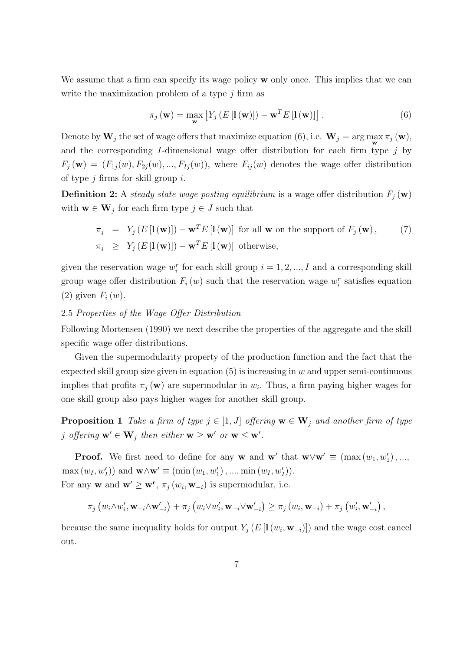We assume that a firm can specify its wage policy  $\bf{w}$  only once. This implies that we can write the maximization problem of a type  $j$  firm as

$$
\pi_j(\mathbf{w}) = \max_{\mathbf{w}} \left[ Y_j \left( E\left[ \mathbf{l}(\mathbf{w}) \right] \right) - \mathbf{w}^T E\left[ \mathbf{l}(\mathbf{w}) \right] \right]. \tag{6}
$$

Denote by  $W_j$  the set of wage offers that maximize equation (6), i.e.  $W_j = \arg \max_{\mathbf{w}} \pi_j(\mathbf{w}),$ and the corresponding  $I$ -dimensional wage offer distribution for each firm type  $j$  by  $F_i(\mathbf{w}) = (F_{1i}(w), F_{2i}(w), ..., F_{1i}(w))$ , where  $F_{ii}(w)$  denotes the wage offer distribution of type  $j$  firms for skill group  $i$ .

**Definition 2:** A steady state wage posting equilibrium is a wage offer distribution  $F_j(\mathbf{w})$ with  $\mathbf{w} \in \mathbf{W}_j$  for each firm type  $j \in J$  such that

$$
\pi_j = Y_j(E[\mathbf{I}(\mathbf{w})]) - \mathbf{w}^T E[\mathbf{I}(\mathbf{w})] \text{ for all } \mathbf{w} \text{ on the support of } F_j(\mathbf{w}), \qquad (7)
$$
  

$$
\pi_j \ge Y_j(E[\mathbf{I}(\mathbf{w})]) - \mathbf{w}^T E[\mathbf{I}(\mathbf{w})] \text{ otherwise,}
$$

given the reservation wage  $w_i^r$  for each skill group  $i = 1, 2, ..., I$  and a corresponding skill group wage offer distribution  $F_i(w)$  such that the reservation wage  $w_i^r$  satisfies equation (2) given  $F_i(w)$ .

#### 2.5 Properties of the Wage Offer Distribution

Following Mortensen (1990) we next describe the properties of the aggregate and the skill specific wage offer distributions.

Given the supermodularity property of the production function and the fact that the expected skill group size given in equation  $(5)$  is increasing in w and upper semi-continuous implies that profits  $\pi_j(\mathbf{w})$  are supermodular in  $w_i$ . Thus, a firm paying higher wages for one skill group also pays higher wages for another skill group.

**Proposition 1** Take a firm of type  $j \in [1, J]$  offering  $\mathbf{w} \in \mathbf{W}_j$  and another firm of type j offering  $\mathbf{w}' \in \mathbf{W}_j$  then either  $\mathbf{w} \geq \mathbf{w}'$  or  $\mathbf{w} \leq \mathbf{w}'$ .

**Proof.** We first need to define for any **w** and **w**' that  $\mathbf{w} \vee \mathbf{w}' \equiv (\max(w_1, w'_1), ...,$  $\max(w_I, w_I'))$  and  $\mathbf{w} \wedge \mathbf{w}' \equiv (\min(w_1, w_1'), ..., \min(w_I, w_I')).$ For any **w** and  $\mathbf{w}' \geq \mathbf{w}^{\mathbf{r}}$ ,  $\pi_j(w_i, \mathbf{w}_{-i})$  is supermodular, i.e.

$$
\pi_j\left(w_i\wedge w_i',\mathbf{w}_{-i}\wedge\mathbf{w}_{-i}'\right)+\pi_j\left(w_i\vee w_i',\mathbf{w}_{-i}\vee\mathbf{w}_{-i}'\right)\geq \pi_j\left(w_i,\mathbf{w}_{-i}\right)+\pi_j\left(w_i',\mathbf{w}_{-i}'\right),
$$

because the same inequality holds for output  $Y_j(E[\mathbf{I}(w_i, \mathbf{w}_{-i})])$  and the wage cost cancel out.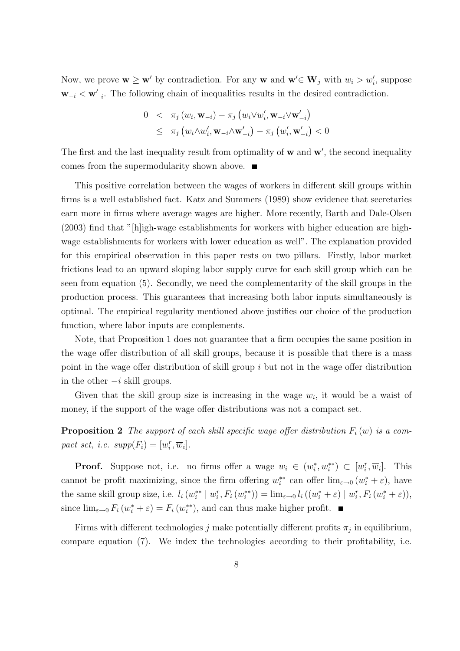Now, we prove  $\mathbf{w} \geq \mathbf{w}'$  by contradiction. For any  $\mathbf{w}$  and  $\mathbf{w}' \in \mathbf{W}_j$  with  $w_i > w'_i$ , suppose  $\mathbf{w}_{-i} < \mathbf{w}'_{-i}$ . The following chain of inequalities results in the desired contradiction.

$$
0 < \pi_j(w_i, \mathbf{w}_{-i}) - \pi_j(w_i \vee w'_i, \mathbf{w}_{-i} \vee \mathbf{w}'_{-i})
$$
\n
$$
\leq \pi_j(w_i \wedge w'_i, \mathbf{w}_{-i} \wedge \mathbf{w}'_{-i}) - \pi_j(w'_i, \mathbf{w}'_{-i}) < 0
$$

The first and the last inequality result from optimality of  $w$  and  $w'$ , the second inequality comes from the supermodularity shown above.  $\blacksquare$ 

This positive correlation between the wages of workers in different skill groups within firms is a well established fact. Katz and Summers (1989) show evidence that secretaries earn more in firms where average wages are higher. More recently, Barth and Dale-Olsen  $(2003)$  find that "[h]igh-wage establishments for workers with higher education are highwage establishments for workers with lower education as well". The explanation provided for this empirical observation in this paper rests on two pillars. Firstly, labor market frictions lead to an upward sloping labor supply curve for each skill group which can be seen from equation (5). Secondly, we need the complementarity of the skill groups in the production process. This guarantees that increasing both labor inputs simultaneously is optimal. The empirical regularity mentioned above justifies our choice of the production function, where labor inputs are complements.

Note, that Proposition 1 does not guarantee that a firm occupies the same position in the wage offer distribution of all skill groups, because it is possible that there is a mass point in the wage offer distribution of skill group i but not in the wage offer distribution in the other  $-i$  skill groups.

Given that the skill group size is increasing in the wage  $w_i$ , it would be a waist of money, if the support of the wage offer distributions was not a compact set.

**Proposition 2** The support of each skill specific wage offer distribution  $F_i(w)$  is a compact set, i.e.  $supp(F_i) = [w_i^r, \overline{w}_i].$ 

**Proof.** Suppose not, i.e. no firms offer a wage  $w_i \in (w_i^*, w_i^{**}) \subset [w_i^r, \overline{w}_i]$ . This cannot be profit maximizing, since the firm offering  $w_i^{**}$  can offer  $\lim_{\varepsilon\to 0} (w_i^* + \varepsilon)$ , have the same skill group size, i.e.  $l_i(w_i^{**} | w_i^r, F_i(w_i^{**})) = \lim_{\varepsilon \to 0} l_i((w_i^* + \varepsilon) | w_i^r, F_i(w_i^* + \varepsilon)),$ since  $\lim_{\varepsilon \to 0} F_i(w_i^* + \varepsilon) = F_i(w_i^{**})$ , and can thus make higher profit.

Firms with different technologies j make potentially different profits  $\pi_j$  in equilibrium, compare equation (7). We index the technologies according to their profitability, i.e.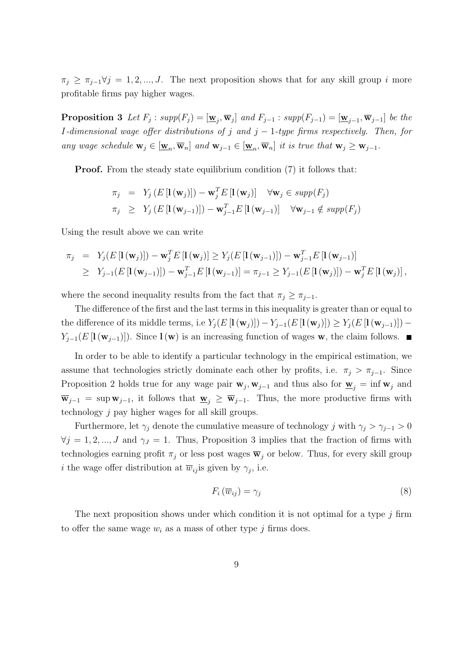$\pi_i \geq \pi_{i-1} \forall j = 1, 2, ..., J$ . The next proposition shows that for any skill group i more profitable firms pay higher wages.

**Proposition 3** Let  $F_j$ :  $supp(F_j) = [\underline{\mathbf{w}}_j, \overline{\mathbf{w}}_j]$  and  $F_{j-1}$ :  $supp(F_{j-1}) = [\underline{\mathbf{w}}_{j-1}, \overline{\mathbf{w}}_{j-1}]$  be the I-dimensional wage offer distributions of j and  $j-1$ -type firms respectively. Then, for any wage schedule  $\mathbf{w}_j \in [\underline{\mathbf{w}}_n, \overline{\mathbf{w}}_n]$  and  $\mathbf{w}_{j-1} \in [\underline{\mathbf{w}}_n, \overline{\mathbf{w}}_n]$  it is true that  $\mathbf{w}_j \geq \mathbf{w}_{j-1}$ .

**Proof.** From the steady state equilibrium condition (7) it follows that:

$$
\pi_j = Y_j (E \left[ \mathbf{I} (\mathbf{w}_j) \right]) - \mathbf{w}_j^T E \left[ \mathbf{I} (\mathbf{w}_j) \right] \quad \forall \mathbf{w}_j \in supp(F_j)
$$
  

$$
\pi_j \ge Y_j (E \left[ \mathbf{I} (\mathbf{w}_{j-1}) \right]) - \mathbf{w}_{j-1}^T E \left[ \mathbf{I} (\mathbf{w}_{j-1}) \right] \quad \forall \mathbf{w}_{j-1} \notin supp(F_j)
$$

Using the result above we can write

$$
\pi_j = Y_j(E[\mathbf{I}(\mathbf{w}_j)]) - \mathbf{w}_j^T E[\mathbf{I}(\mathbf{w}_j)] \ge Y_j(E[\mathbf{I}(\mathbf{w}_{j-1})]) - \mathbf{w}_{j-1}^T E[\mathbf{I}(\mathbf{w}_{j-1})]
$$
  
\n
$$
\ge Y_{j-1}(E[\mathbf{I}(\mathbf{w}_{j-1})]) - \mathbf{w}_{j-1}^T E[\mathbf{I}(\mathbf{w}_{j-1})] = \pi_{j-1} \ge Y_{j-1}(E[\mathbf{I}(\mathbf{w}_j)]) - \mathbf{w}_j^T E[\mathbf{I}(\mathbf{w}_j)],
$$

where the second inequality results from the fact that  $\pi_j \geq \pi_{j-1}$ .

The difference of the first and the last terms in this inequality is greater than or equal to the difference of its middle terms, i.e  $Y_j(E[\mathbf{I}(\mathbf{w}_j)]) - Y_{j-1}(E[\mathbf{I}(\mathbf{w}_j)]) \ge Y_j(E[\mathbf{I}(\mathbf{w}_{j-1})])$  $Y_{j-1}(E[\mathbf{I}(\mathbf{w}_{j-1})])$ . Since  $\mathbf{I}(\mathbf{w})$  is an increasing function of wages w, the claim follows.  $\blacksquare$ 

In order to be able to identify a particular technology in the empirical estimation, we assume that technologies strictly dominate each other by profits, i.e.  $\pi_j > \pi_{j-1}$ . Since Proposition 2 holds true for any wage pair  $\mathbf{w}_j, \mathbf{w}_{j-1}$  and thus also for  $\underline{\mathbf{w}}_j = \inf \mathbf{w}_j$  and  $\overline{\mathbf{w}}_{j-1}$  = sup  $\mathbf{w}_{j-1}$ , it follows that  $\underline{\mathbf{w}}_j \geq \overline{\mathbf{w}}_{j-1}$ . Thus, the more productive firms with technology j pay higher wages for all skill groups.

Furthermore, let  $\gamma_i$  denote the cumulative measure of technology j with  $\gamma_i > \gamma_{i-1} > 0$  $\forall j = 1, 2, ..., J$  and  $\gamma_j = 1$ . Thus, Proposition 3 implies that the fraction of firms with technologies earning profit  $\pi_j$  or less post wages  $\overline{\mathbf{w}}_j$  or below. Thus, for every skill group *i* the wage offer distribution at  $\overline{w}_{ij}$  is given by  $\gamma_j$ , i.e.

$$
F_i\left(\overline{w}_{ij}\right) = \gamma_j \tag{8}
$$

The next proposition shows under which condition it is not optimal for a type  $j$  firm to offer the same wage  $w_i$  as a mass of other type j firms does.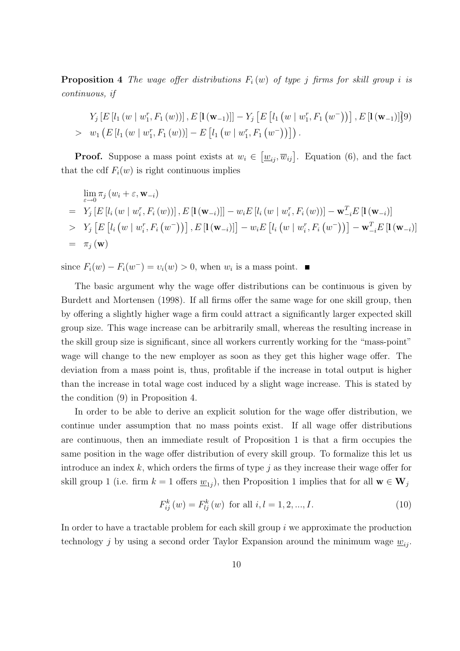**Proposition 4** The wage offer distributions  $F_i(w)$  of type j firms for skill group i is continuous, if

$$
Y_j [E [l_1 (w | w_1^r, F_1 (w))], E [\mathbf{1} (\mathbf{w}_{-1})]] - Y_j [E [l_1 (w | w_1^r, F_1 (w^-))], E [\mathbf{1} (\mathbf{w}_{-1})]]
$$
  
>  $w_1 (E [l_1 (w | w_1^r, F_1 (w))] - E [l_1 (w | w_1^r, F_1 (w^-))])$ .

**Proof.** Suppose a mass point exists at  $w_i \in$  $[\underline{w}_{ij}, \overline{w}_{ij}]$ . Equation (6), and the fact that the cdf  $F_i(w)$  is right continuous implies

$$
\lim_{\varepsilon \to 0} \pi_j (w_i + \varepsilon, \mathbf{w}_{-i})
$$
\n
$$
= Y_j [E [l_i (w | w_i^r, F_i (w))], E [\mathbf{1} (\mathbf{w}_{-i})]] - w_i E [l_i (w | w_i^r, F_i (w))] - \mathbf{w}_{-i}^T E [\mathbf{1} (\mathbf{w}_{-i})]
$$
\n
$$
> Y_j [E [l_i (w | w_i^r, F_i (w^{-}))], E [\mathbf{1} (\mathbf{w}_{-i})]] - w_i E [l_i (w | w_i^r, F_i (w^{-}))] - \mathbf{w}_{-i}^T E [\mathbf{1} (\mathbf{w}_{-i})]
$$
\n
$$
= \pi_j (\mathbf{w})
$$

since  $F_i(w) - F_i(w^-) = v_i(w) > 0$ , when  $w_i$  is a mass point.

The basic argument why the wage offer distributions can be continuous is given by Burdett and Mortensen (1998). If all firms offer the same wage for one skill group, then by offering a slightly higher wage a firm could attract a significantly larger expected skill group size. This wage increase can be arbitrarily small, whereas the resulting increase in the skill group size is significant, since all workers currently working for the "mass-point" wage will change to the new employer as soon as they get this higher wage offer. The deviation from a mass point is, thus, profitable if the increase in total output is higher than the increase in total wage cost induced by a slight wage increase. This is stated by the condition (9) in Proposition 4.

In order to be able to derive an explicit solution for the wage offer distribution, we continue under assumption that no mass points exist. If all wage offer distributions are continuous, then an immediate result of Proposition 1 is that a firm occupies the same position in the wage offer distribution of every skill group. To formalize this let us introduce an index k, which orders the firms of type j as they increase their wage offer for skill group 1 (i.e. firm  $k = 1$  offers  $\underline{w}_{1j}$ ), then Proposition 1 implies that for all  $\mathbf{w} \in \mathbf{W}_j$ 

$$
F_{ij}^{k}(w) = F_{lj}^{k}(w) \text{ for all } i, l = 1, 2, ..., I.
$$
 (10)

In order to have a tractable problem for each skill group  $i$  we approximate the production technology j by using a second order Taylor Expansion around the minimum wage  $w_{ii}$ .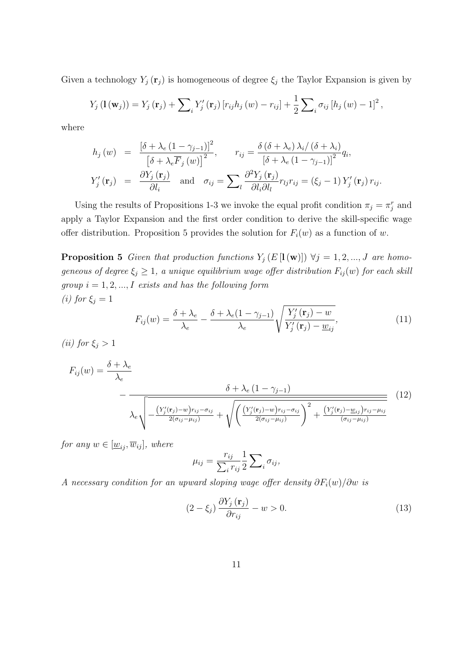Given a technology  $Y_j(\mathbf{r}_j)$  is homogeneous of degree  $\xi_j$  the Taylor Expansion is given by

$$
Y_j(\mathbf{1}(\mathbf{w}_j)) = Y_j(\mathbf{r}_j) + \sum_i Y'_j(\mathbf{r}_j) [r_{ij}h_j(w) - r_{ij}] + \frac{1}{2} \sum_i \sigma_{ij} [h_j(w) - 1]^2,
$$

where

$$
h_j(w) = \frac{\left[\delta + \lambda_e (1 - \gamma_{j-1})\right]^2}{\left[\delta + \lambda_e \overline{F}_j(w)\right]^2}, \qquad r_{ij} = \frac{\delta (\delta + \lambda_e) \lambda_i / (\delta + \lambda_i)}{\left[\delta + \lambda_e (1 - \gamma_{j-1})\right]^2} q_i,
$$
  

$$
Y'_j(\mathbf{r}_j) = \frac{\partial Y_j(\mathbf{r}_j)}{\partial l_i} \quad \text{and} \quad \sigma_{ij} = \sum_l \frac{\partial^2 Y_j(\mathbf{r}_j)}{\partial l_i \partial l_l} r_{lj} r_{ij} = (\xi_j - 1) Y'_j(\mathbf{r}_j) r_{ij}.
$$

Using the results of Propositions 1-3 we invoke the equal profit condition  $\pi_j = \pi_j^r$  and apply a Taylor Expansion and the first order condition to derive the skill-specific wage offer distribution. Proposition 5 provides the solution for  $F_i(w)$  as a function of w.

**Proposition 5** Given that production functions  $Y_j(E[\mathbf{l}(\mathbf{w})]) \ \forall j = 1, 2, ..., J$  are homogeneous of degree  $\xi_j \geq 1$ , a unique equilibrium wage offer distribution  $F_{ij}(w)$  for each skill  $group \ i=1,2,...,I \ \ exists \ and \ has \ the \ following \ form$ (i) for  $\xi_j = 1$ s

$$
F_{ij}(w) = \frac{\delta + \lambda_e}{\lambda_e} - \frac{\delta + \lambda_e (1 - \gamma_{j-1})}{\lambda_e} \sqrt{\frac{Y'_j(\mathbf{r}_j) - w}{Y'_j(\mathbf{r}_j) - \underline{w}_{ij}}},\tag{11}
$$

(ii) for  $\xi_i > 1$ 

$$
F_{ij}(w) = \frac{\delta + \lambda_e}{\lambda_e}
$$
\n
$$
- \frac{\delta + \lambda_e (1 - \gamma_{j-1})}{\lambda_e \sqrt{-\frac{\left(Y'_j(\mathbf{r}_j) - w\right) r_{ij} - \sigma_{ij}}{2(\sigma_{ij} - \mu_{ij})} + \sqrt{\left(\frac{\left(Y'_j(\mathbf{r}_j) - w\right) r_{ij} - \sigma_{ij}}{2(\sigma_{ij} - \mu_{ij})}\right)^2 + \frac{\left(Y'_j(\mathbf{r}_j) - w_{ij}\right) r_{ij} - \mu_{ij}}{(\sigma_{ij} - \mu_{ij})}} \tag{12}
$$

for any  $w \in [\underline{w}_{ij}, \overline{w}_{ij}],$  where

$$
\mu_{ij} = \frac{r_{ij}}{\sum_i r_{ij}} \frac{1}{2} \sum_i \sigma_{ij},
$$

A necessary condition for an upward sloping wage offer density  $\partial F_i(w)/\partial w$  is

$$
(2 - \xi_j) \frac{\partial Y_j(\mathbf{r}_j)}{\partial r_{ij}} - w > 0.
$$
 (13)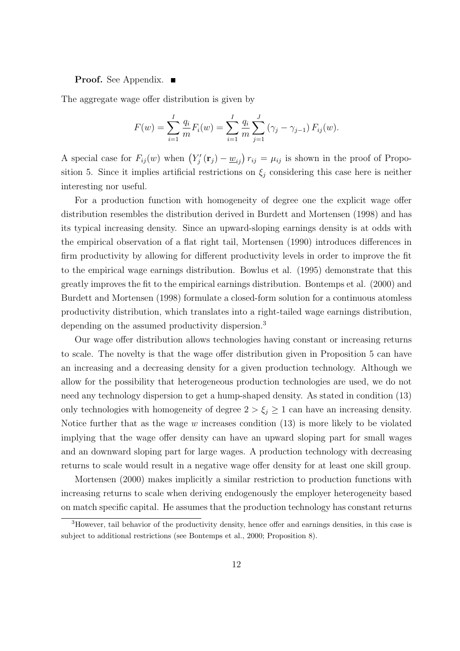#### **Proof.** See Appendix. ■

The aggregate wage offer distribution is given by

$$
F(w) = \sum_{i=1}^{I} \frac{q_i}{m} F_i(w) = \sum_{i=1}^{I} \frac{q_i}{m} \sum_{j=1}^{J} (\gamma_j - \gamma_{j-1}) F_{ij}(w).
$$

A special case for  $F_{ij}(w)$  when  $(Y'_j(\mathbf{r}_j) - \underline{w}_{ij}) r_{ij} = \mu_{ij}$  is shown in the proof of Proposition 5. Since it implies artificial restrictions on  $\xi_i$  considering this case here is neither interesting nor useful.

For a production function with homogeneity of degree one the explicit wage offer distribution resembles the distribution derived in Burdett and Mortensen (1998) and has its typical increasing density. Since an upward-sloping earnings density is at odds with the empirical observation of a flat right tail, Mortensen (1990) introduces differences in firm productivity by allowing for different productivity levels in order to improve the fit to the empirical wage earnings distribution. Bowlus et al. (1995) demonstrate that this greatly improves the fit to the empirical earnings distribution. Bontemps et al. (2000) and Burdett and Mortensen (1998) formulate a closed-form solution for a continuous atomless productivity distribution, which translates into a right-tailed wage earnings distribution, depending on the assumed productivity dispersion.<sup>3</sup>

Our wage offer distribution allows technologies having constant or increasing returns to scale. The novelty is that the wage offer distribution given in Proposition 5 can have an increasing and a decreasing density for a given production technology. Although we allow for the possibility that heterogeneous production technologies are used, we do not need any technology dispersion to get a hump-shaped density. As stated in condition (13) only technologies with homogeneity of degree  $2 > \xi_j \geq 1$  can have an increasing density. Notice further that as the wage  $w$  increases condition  $(13)$  is more likely to be violated implying that the wage offer density can have an upward sloping part for small wages and an downward sloping part for large wages. A production technology with decreasing returns to scale would result in a negative wage offer density for at least one skill group.

Mortensen (2000) makes implicitly a similar restriction to production functions with increasing returns to scale when deriving endogenously the employer heterogeneity based on match specific capital. He assumes that the production technology has constant returns

<sup>3</sup>However, tail behavior of the productivity density, hence offer and earnings densities, in this case is subject to additional restrictions (see Bontemps et al., 2000; Proposition 8).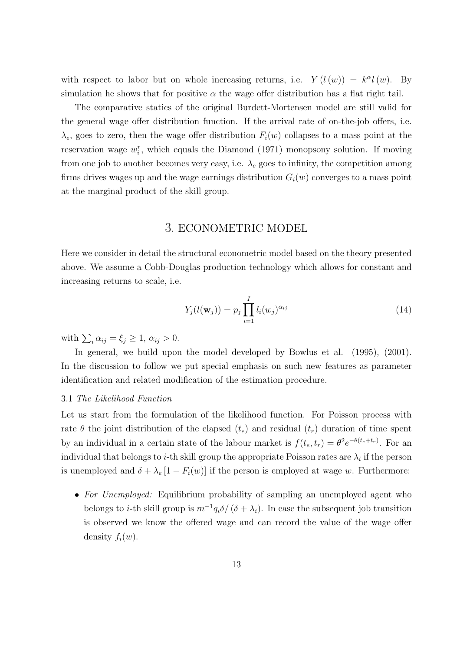with respect to labor but on whole increasing returns, i.e.  $Y(l(w)) = k^{\alpha}l(w)$ . By simulation he shows that for positive  $\alpha$  the wage offer distribution has a flat right tail.

The comparative statics of the original Burdett-Mortensen model are still valid for the general wage offer distribution function. If the arrival rate of on-the-job offers, i.e.  $\lambda_e$ , goes to zero, then the wage offer distribution  $F_i(w)$  collapses to a mass point at the reservation wage  $w_i^r$ , which equals the Diamond (1971) monopsony solution. If moving from one job to another becomes very easy, i.e.  $\lambda_e$  goes to infinity, the competition among firms drives wages up and the wage earnings distribution  $G_i(w)$  converges to a mass point at the marginal product of the skill group.

## 3. ECONOMETRIC MODEL

Here we consider in detail the structural econometric model based on the theory presented above. We assume a Cobb-Douglas production technology which allows for constant and increasing returns to scale, i.e.

$$
Y_j(l(\mathbf{w}_j)) = p_j \prod_{i=1}^I l_i(w_j)^{\alpha_{ij}} \tag{14}
$$

with  $\sum_i \alpha_{ij} = \xi_j \geq 1, \, \alpha_{ij} > 0.$ 

In general, we build upon the model developed by Bowlus et al. (1995), (2001). In the discussion to follow we put special emphasis on such new features as parameter identification and related modification of the estimation procedure.

#### 3.1 The Likelihood Function

Let us start from the formulation of the likelihood function. For Poisson process with rate  $\theta$  the joint distribution of the elapsed  $(t_e)$  and residual  $(t_r)$  duration of time spent by an individual in a certain state of the labour market is  $f(t_e, t_r) = \theta^2 e^{-\theta(t_e + t_r)}$ . For an individual that belongs to *i*-th skill group the appropriate Poisson rates are  $\lambda_i$  if the person is unemployed and  $\delta + \lambda_e [1 - F_i(w)]$  if the person is employed at wage w. Furthermore:

• For Unemployed: Equilibrium probability of sampling an unemployed agent who belongs to *i*-th skill group is  $m^{-1}q_i\delta/(\delta + \lambda_i)$ . In case the subsequent job transition is observed we know the offered wage and can record the value of the wage offer density  $f_i(w)$ .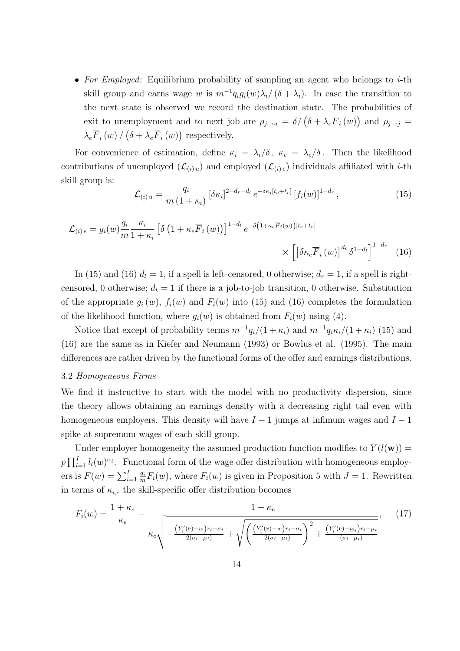• For Employed: Equilibrium probability of sampling an agent who belongs to  $i$ -th skill group and earns wage w is  $m^{-1}q_i g_i(w) \lambda_i/(\delta + \lambda_i)$ . In case the transition to the next state is observed we record the destination state. The probabilities of exit to unemployment and to next job are  $\rho_{j\to u} = \delta / (\delta + \lambda_e \overline{F}_i(w))$  $\ddot{\phantom{a}}$ and  $\rho_{j\rightarrow j}$  =  $\lambda_{e}\overline{F}_{i}\left (w\right ) /$ ¡  $\delta + \lambda_e \overline{F}_i \left( w \right)$  $\ddot{\ }$ respectively.

For convenience of estimation, define  $\kappa_i = \lambda_i/\delta$ ,  $\kappa_e = \lambda_e/\delta$ . Then the likelihood contributions of unemployed  $(\mathcal{L}_{(i)u})$  and employed  $(\mathcal{L}_{(i)e})$  individuals affiliated with *i*-th skill group is:

$$
\mathcal{L}_{(i)u} = \frac{q_i}{m(1+\kappa_i)} \left[ \delta \kappa_i \right]^{2-d_r-d_l} e^{-\delta \kappa_i [t_e + t_r]} \left[ f_i(w) \right]^{1-d_r}, \tag{15}
$$

$$
\mathcal{L}_{(i)e} = g_i(w) \frac{q_i}{m} \frac{\kappa_i}{1 + \kappa_i} \left[ \delta \left( 1 + \kappa_e \overline{F}_i(w) \right) \right]^{1 - d_l} e^{-\delta \left( 1 + \kappa_e \overline{F}_i(w) \right) [t_e + t_r]} \times \left[ \left[ \delta \kappa_e \overline{F}_i(w) \right]^{d_t} \delta^{1 - d_t} \right]^{1 - d_r} (16)
$$

In (15) and (16)  $d_l = 1$ , if a spell is left-censored, 0 otherwise;  $d_r = 1$ , if a spell is rightcensored, 0 otherwise;  $d_t = 1$  if there is a job-to-job transition, 0 otherwise. Substitution of the appropriate  $g_i(w)$ ,  $f_i(w)$  and  $F_i(w)$  into (15) and (16) completes the formulation of the likelihood function, where  $g_i(w)$  is obtained from  $F_i(w)$  using (4).

Notice that except of probability terms  $m^{-1}q_i/(1+\kappa_i)$  and  $m^{-1}q_i\kappa_i/(1+\kappa_i)$  (15) and (16) are the same as in Kiefer and Neumann (1993) or Bowlus et al. (1995). The main differences are rather driven by the functional forms of the offer and earnings distributions.

#### 3.2 Homogeneous Firms

We find it instructive to start with the model with no productivity dispersion, since the theory allows obtaining an earnings density with a decreasing right tail even with homogeneous employers. This density will have  $I - 1$  jumps at infimum wages and  $I - 1$ spike at supremum wages of each skill group.

Under employer homogeneity the assumed production function modifies to  $Y(l(\mathbf{w})) =$  $p\prod_{l}^{l}$  $\prod_{l=1}^{I} l_l(w)^{\alpha_l}$ . Functional form of the wage offer distribution with homogeneous employ- $F11_{l=1}^{l=1}v_{l}(\omega)$  is through  $\frac{q_i}{m}F_i(w)$ , where  $F_i(w)$  is given in Proposition 5 with  $J = 1$ . Rewritten in terms of  $\kappa_{i,e}$  the skill-specific offer distribution becomes

$$
F_i(w) = \frac{1 + \kappa_e}{\kappa_e} - \frac{1 + \kappa_e}{\kappa_e \sqrt{\frac{\left(Y_i'(\mathbf{r}) - w\right) r_i - \sigma_i}{2(\sigma_i - \mu_i)} + \sqrt{\left(\frac{\left(Y_i'(\mathbf{r}) - w\right) r_i - \sigma_i}{2(\sigma_i - \mu_i)}\right)^2 + \frac{\left(Y_i'(\mathbf{r}) - w_i\right) r_i - \mu_i}{(\sigma_i - \mu_i)}}},\tag{17}
$$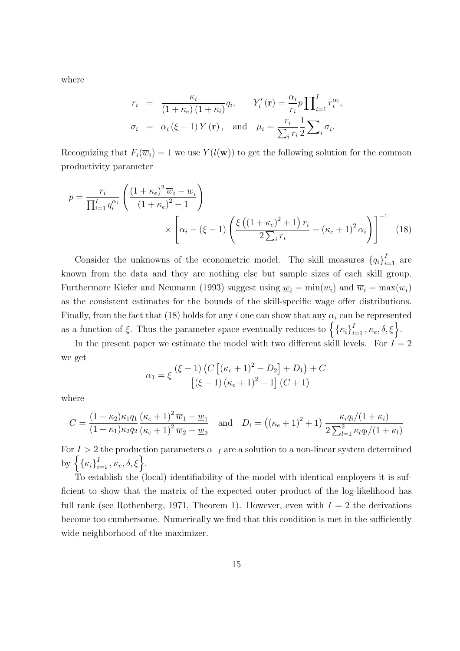where

$$
r_i = \frac{\kappa_i}{(1 + \kappa_e)(1 + \kappa_i)} q_i, \qquad Y'_i(\mathbf{r}) = \frac{\alpha_i}{r_i} p \prod_{i=1}^I r_i^{\alpha_i},
$$
  

$$
\sigma_i = \alpha_i (\xi - 1) Y(\mathbf{r}), \text{ and } \mu_i = \frac{r_i}{\sum_i r_i} \frac{1}{2} \sum_i \sigma_i.
$$

Recognizing that  $F_i(\overline{w}_i) = 1$  we use  $Y(l(\mathbf{w}))$  to get the following solution for the common productivity parameter

$$
p = \frac{r_i}{\prod_{i=1}^{I} q_i^{\alpha_i}} \left( \frac{\left(1 + \kappa_e\right)^2 \overline{w}_i - \underline{w}_i}{\left(1 + \kappa_e\right)^2 - 1} \right) \times \left[ \alpha_i - (\xi - 1) \left( \frac{\xi \left( \left(1 + \kappa_e\right)^2 + 1 \right) r_i}{2 \sum_i r_i} - (\kappa_e + 1)^2 \alpha_i \right) \right]^{-1} \tag{18}
$$

Consider the unknowns of the econometric model. The skill measures  ${q_i}_{i=1}^I$  are known from the data and they are nothing else but sample sizes of each skill group. Furthermore Kiefer and Neumann (1993) suggest using  $\underline{w}_i = \min(w_i)$  and  $\overline{w}_i = \max(w_i)$ as the consistent estimates for the bounds of the skill-specific wage offer distributions. Finally, from the fact that (18) holds for any i one can show that any  $\alpha_i$  can be represented Finally, from the fact that (18) holds for any *i* one can show that any  $\alpha_i$  can<br>as a function of  $\xi$ . Thus the parameter space eventually reduces to  $\left\{ {\left\{ {\kappa_i} \right\}}_i^I \right\}$  $\left\{\begin{matrix}I&\kappa_e,\delta,\xi\end{matrix}\right\}.$ 

In the present paper we estimate the model with two different skill levels. For  $\vec{I} = 2$ we get £ l<br>E ¢

$$
\alpha_1 = \xi \frac{(\xi - 1) (C [(\kappa_e + 1)^2 - D_2] + D_1) + C}{[(\xi - 1) (\kappa_e + 1)^2 + 1] (C + 1)}
$$

where

$$
C = \frac{(1 + \kappa_2)\kappa_1 q_1 (\kappa_e + 1)^2 \overline{w}_1 - \underline{w}_1}{(1 + \kappa_1)\kappa_2 q_2 (\kappa_e + 1)^2 \overline{w}_2 - \underline{w}_2}
$$
 and 
$$
D_i = ((\kappa_e + 1)^2 + 1) \frac{\kappa_i q_i/(1 + \kappa_i)}{2 \sum_{l=1}^2 \kappa_l q_l/(1 + \kappa_l)}
$$

For  $I > 2$  the production parameters  $\alpha_{-I}$  are a solution to a non-linear system determined For  $1 > 2$ <br>by  $\left\{ \kappa_i \right\}_{i=1}^N$  $\left\{ \begin{matrix} I \ I \end{matrix} \right. \kappa_e, \delta, \xi \bigg\}.$ 

To establish the (local) identifiability of the model with identical employers it is sufficient to show that the matrix of the expected outer product of the log-likelihood has full rank (see Rothenberg, 1971, Theorem 1). However, even with  $I = 2$  the derivations become too cumbersome. Numerically we find that this condition is met in the sufficiently wide neighborhood of the maximizer.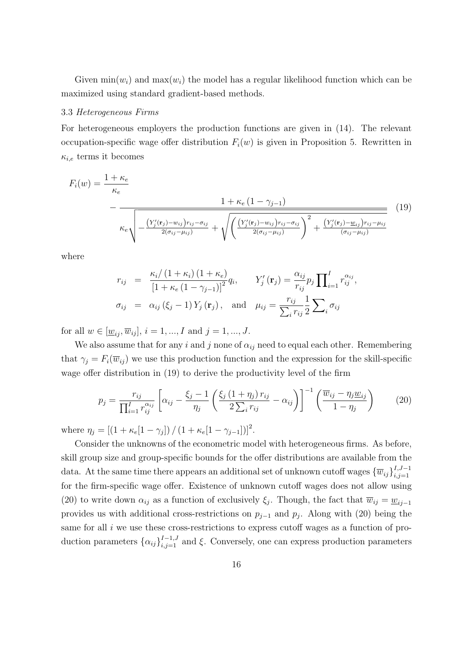Given  $\min(w_i)$  and  $\max(w_i)$  the model has a regular likelihood function which can be maximized using standard gradient-based methods.

#### 3.3 Heterogeneous Firms

For heterogeneous employers the production functions are given in (14). The relevant occupation-specific wage offer distribution  $F_i(w)$  is given in Proposition 5. Rewritten in  $\kappa_{i,e}$  terms it becomes

$$
F_i(w) = \frac{1 + \kappa_e}{\kappa_e} - \frac{1 + \kappa_e (1 - \gamma_{j-1})}{\kappa_e \sqrt{-\frac{\left(Y'_j(\mathbf{r}_j) - w_{ij}\right) r_{ij} - \sigma_{ij}}{2(\sigma_{ij} - \mu_{ij})} + \sqrt{\left(\frac{\left(Y'_j(\mathbf{r}_j) - w_{ij}\right) r_{ij} - \sigma_{ij}}{2(\sigma_{ij} - \mu_{ij})}\right)^2 + \frac{\left(Y'_j(\mathbf{r}_j) - w_{ij}\right) r_{ij} - \mu_{ij}}{(\sigma_{ij} - \mu_{ij})}}}
$$
(19)

where

$$
r_{ij} = \frac{\kappa_i/(1+\kappa_i)(1+\kappa_e)}{\left[1+\kappa_e(1-\gamma_{j-1})\right]^2}q_i, \quad Y'_j(\mathbf{r}_j) = \frac{\alpha_{ij}}{r_{ij}}p_j \prod_{i=1}^I r_{ij}^{\alpha_{ij}},
$$
  

$$
\sigma_{ij} = \alpha_{ij}(\xi_j - 1)Y_j(\mathbf{r}_j), \text{ and } \mu_{ij} = \frac{r_{ij}}{\sum_i r_{ij}}\frac{1}{2}\sum_i \sigma_{ij}
$$

for all  $w \in [\underline{w}_{ij}, \overline{w}_{ij}], i = 1, ..., I$  and  $j = 1, ..., J$ .

We also assume that for any i and j none of  $\alpha_{ij}$  need to equal each other. Remembering that  $\gamma_j = F_i(\overline{w}_{ij})$  we use this production function and the expression for the skill-specific wage offer distribution in (19) to derive the productivity level of the firm

$$
p_j = \frac{r_{ij}}{\prod_{i=1}^I r_{ij}^{\alpha_{ij}}} \left[ \alpha_{ij} - \frac{\xi_j - 1}{\eta_j} \left( \frac{\xi_j (1 + \eta_j) r_{ij}}{2 \sum_i r_{ij}} - \alpha_{ij} \right) \right]^{-1} \left( \frac{\overline{w}_{ij} - \eta_j \underline{w}_{ij}}{1 - \eta_j} \right)
$$
(20)

where  $\eta_j = [(1 + \kappa_e[1 - \gamma_j]) / (1 + \kappa_e[1 - \gamma_{j-1}])]^2$ .

Consider the unknowns of the econometric model with heterogeneous firms. As before, skill group size and group-specific bounds for the offer distributions are available from the data. At the same time there appears an additional set of unknown cutoff wages  ${\{\overline{w}_{ij}\}}_{i,j=1}^{I,J-1}$  $i,j=1$ for the firm-specific wage offer. Existence of unknown cutoff wages does not allow using (20) to write down  $\alpha_{ij}$  as a function of exclusively  $\xi_j$ . Though, the fact that  $\overline{w}_{ij} = \underline{w}_{ij-1}$ provides us with additional cross-restrictions on  $p_{j-1}$  and  $p_j$ . Along with (20) being the same for all  $i$  we use these cross-restrictions to express cutoff wages as a function of production parameters  $\{\alpha_{ij}\}_{i,j=1}^{I-1,J}$  and  $\xi$ . Conversely, one can express production parameters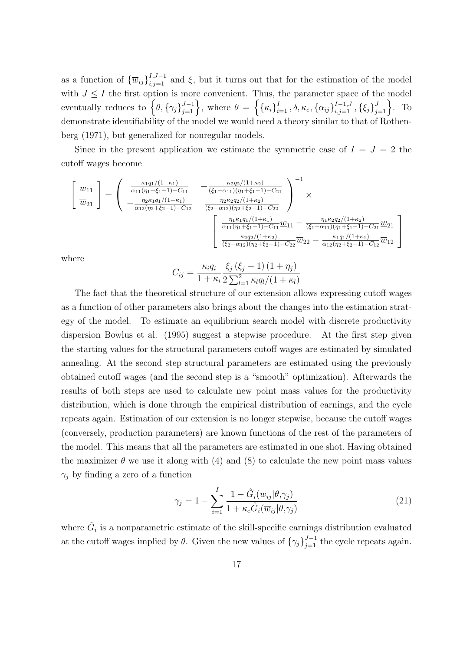as a function of  ${\lbrace \overline{w}_{ij} \rbrace}_{i,j=1}^{I,J-1}$  and  $\xi$ , but it turns out that for the estimation of the model with  $J \leq I$  the first option is more convenient. Thus, the parameter space of the model with  $J \leq I$  the first option is more<br>eventually reduces to  $\left\{\theta, {\{\gamma_j\}}_{i=1}^{J-1}\right\}$ more convenient. Thus, the parameter space of the  $J^{-1}$ , where  $\theta = \left\{ \{\kappa_i\}_{i=1}^I, \delta, \kappa_e, \{\alpha_{ij}\}_{i,j=1}^{J-1, J}, \{\xi_j\}_{j=1}^J \right\}$  $J_{j=1}$ . To demonstrate identifiability of the model we would need a theory similar to that of Rothenberg (1971), but generalized for nonregular models.

Since in the present application we estimate the symmetric case of  $I = J = 2$  the cutoff wages become

$$
\begin{bmatrix}\n\overline{w}_{11} \\
\overline{w}_{21}\n\end{bmatrix} = \begin{pmatrix}\n\frac{\kappa_1 q_1/(1+\kappa_1)}{\alpha_{11}(\eta_1 + \xi_1 - 1) - C_{11}} & -\frac{\kappa_2 q_2/(1+\kappa_2)}{(\xi_1 - \alpha_{11})(\eta_1 + \xi_1 - 1) - C_{21}} \\
-\frac{\eta_2 \kappa_1 q_1/(1+\kappa_1)}{\alpha_{12}(\eta_2 + \xi_2 - 1) - C_{12}} & \frac{\eta_2 \kappa_2 q_2/(1+\kappa_2)}{(\xi_2 - \alpha_{12})(\eta_2 + \xi_2 - 1) - C_{22}}\n\end{pmatrix} \times \frac{\frac{\eta_1 \kappa_1 q_1/(1+\kappa_1)}{(\xi_1 - \alpha_{11})(\eta_1 + \xi_1 - 1) - C_{11}} \underline{w}_{11}}{\frac{\eta_1 \kappa_1 q_1/(1+\kappa_1)}{(\xi_2 - \alpha_{12})(\eta_2 + \xi_2 - 1) - C_{21}} \underline{w}_{21}} \frac{\underline{w}_{21}}{(\xi_2 - \alpha_{12})(\eta_2 + \xi_2 - 1) - C_{22}} \overline{w}_{22} - \frac{\kappa_1 q_1/(1+\kappa_1)}{\alpha_{12}(\eta_2 + \xi_2 - 1) - C_{12}} \overline{w}_{12}\n\end{bmatrix}
$$
\nhere\n
$$
C = \kappa_i q_i \quad \xi_j \left(\xi_j - 1\right) \left(1 + \eta_j\right)
$$

w<sub>h</sub>

$$
C_{ij} = \frac{\kappa_i q_i}{1 + \kappa_i} \frac{\xi_j (\xi_j - 1) (1 + \eta_j)}{2 \sum_{l=1}^2 \kappa_l q_l / (1 + \kappa_l)}
$$

The fact that the theoretical structure of our extension allows expressing cutoff wages as a function of other parameters also brings about the changes into the estimation strategy of the model. To estimate an equilibrium search model with discrete productivity dispersion Bowlus et al. (1995) suggest a stepwise procedure. At the first step given the starting values for the structural parameters cutoff wages are estimated by simulated annealing. At the second step structural parameters are estimated using the previously obtained cutoff wages (and the second step is a "smooth" optimization). Afterwards the results of both steps are used to calculate new point mass values for the productivity distribution, which is done through the empirical distribution of earnings, and the cycle repeats again. Estimation of our extension is no longer stepwise, because the cutoff wages (conversely, production parameters) are known functions of the rest of the parameters of the model. This means that all the parameters are estimated in one shot. Having obtained the maximizer  $\theta$  we use it along with (4) and (8) to calculate the new point mass values  $\gamma_i$  by finding a zero of a function

$$
\gamma_j = 1 - \sum_{i=1}^I \frac{1 - \hat{G}_i(\overline{w}_{ij} | \theta, \gamma_j)}{1 + \kappa_e \hat{G}_i(\overline{w}_{ij} | \theta, \gamma_j)}
$$
(21)

where  $\hat{G}_i$  is a nonparametric estimate of the skill-specific earnings distribution evaluated at the cutoff wages implied by  $\theta$ . Given the new values of  $\{\gamma_j\}_{j=1}^{J-1}$  the cycle repeats again.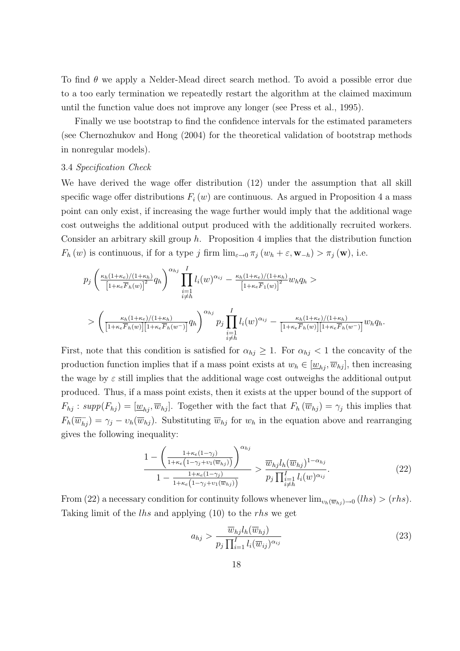To find  $\theta$  we apply a Nelder-Mead direct search method. To avoid a possible error due to a too early termination we repeatedly restart the algorithm at the claimed maximum until the function value does not improve any longer (see Press et al., 1995).

Finally we use bootstrap to find the confidence intervals for the estimated parameters (see Chernozhukov and Hong (2004) for the theoretical validation of bootstrap methods in nonregular models).

#### 3.4 Specification Check

We have derived the wage offer distribution (12) under the assumption that all skill specific wage offer distributions  $F_i(w)$  are continuous. As argued in Proposition 4 a mass point can only exist, if increasing the wage further would imply that the additional wage cost outweighs the additional output produced with the additionally recruited workers. Consider an arbitrary skill group  $h$ . Proposition 4 implies that the distribution function  $F_h(w)$  is continuous, if for a type j firm  $\lim_{\varepsilon\to 0} \pi_j(w_h + \varepsilon, w_{-h}) > \pi_j(w)$ , i.e.

$$
p_j\left(\frac{\kappa_h(1+\kappa_e)/(1+\kappa_h)}{\left[1+\kappa_e\overline{F}_h(w)\right]^2}q_h\right)^{\alpha_{hj}}\prod_{\substack{i=1\\i\neq h}}^I l_i(w)^{\alpha_{ij}}-\frac{\kappa_h(1+\kappa_e)/(1+\kappa_h)}{\left[1+\kappa_e\overline{F}_1(w)\right]^2}w_hq_h >\n\n&\left(\frac{\kappa_h(1+\kappa_e)/(1+\kappa_h)}{\left[1+\kappa_e\overline{F}_h(w)\right]\left[1+\kappa_e\overline{F}_h(w^{-})\right]}q_h\right)^{\alpha_{hj}}p_j\prod_{\substack{i=1\\i\neq h}}^I l_i(w)^{\alpha_{ij}}-\frac{\kappa_h(1+\kappa_e)/(1+\kappa_h)}{\left[1+\kappa_e\overline{F}_h(w)\right]\left[1+\kappa_e\overline{F}_h(w^{-})\right]}w_hq_h.
$$

First, note that this condition is satisfied for  $\alpha_{hj} \geq 1$ . For  $\alpha_{hj} < 1$  the concavity of the production function implies that if a mass point exists at  $w_h \in [\underline{w}_{hj}, \overline{w}_{hj}]$ , then increasing the wage by  $\varepsilon$  still implies that the additional wage cost outweighs the additional output produced. Thus, if a mass point exists, then it exists at the upper bound of the support of  $F_{hj}$ :  $supp(F_{hj}) = [\underline{w}_{hj}, \overline{w}_{hj}]$ . Together with the fact that  $F_h(\overline{w}_{hj}) = \gamma_j$  this implies that  $F_h(\overline{w}_{hj}) = \gamma_j - v_h(\overline{w}_{hj})$ . Substituting  $\overline{w}_{hj}$  for  $w_h$  in the equation above and rearranging gives the following inequality:

$$
\frac{1 - \left(\frac{1 + \kappa_e(1 - \gamma_j)}{1 + \kappa_e(1 - \gamma_j + \nu_1(\overline{w}_{hj}))}\right)^{\alpha_{hj}}}{1 - \frac{1 + \kappa_e(1 - \gamma_j)}{1 + \kappa_e(1 - \gamma_j + \nu_1(\overline{w}_{hj}))}} > \frac{\overline{w}_{hj}l_h(\overline{w}_{hj})^{1 - \alpha_{hj}}}{p_j \prod_{\substack{i=1 \ i \neq h}}^I l_i(w)^{\alpha_{ij}}}.
$$
\n
$$
(22)
$$

From (22) a necessary condition for continuity follows whenever  $\lim_{v_h(\overline{w}_{hj})\to 0} (lhs) > (rhs)$ . Taking limit of the *lhs* and applying (10) to the *rhs* we get

$$
a_{hj} > \frac{\overline{w}_{hj}l_h(\overline{w}_{hj})}{p_j \prod_{i=1}^I l_i(\overline{w}_{ij})^{\alpha_{ij}}}
$$
\n(23)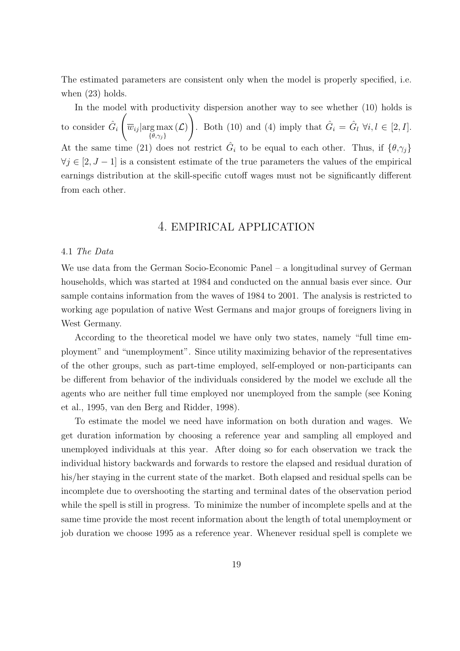The estimated parameters are consistent only when the model is properly specified, i.e. when (23) holds.

In the model with productivity dispersion another way to see whether  $(10)$  holds is to consider  $\hat{G}_i\left(\overline{w}_{ij}\vert \text{arg}\max\right)$  $\{\theta,\gamma_j\}$  $(\mathcal{L})$ . Both (10) and (4) imply that  $\hat{G}_i = \hat{G}_l \,\forall i,l \in [2, I].$ At the same time (21) does not restrict  $\hat{G}_i$  to be equal to each other. Thus, if  $\{\theta, \gamma_j\}$  $\forall j \in [2, J - 1]$  is a consistent estimate of the true parameters the values of the empirical earnings distribution at the skill-specific cutoff wages must not be significantly different from each other.

## 4. EMPIRICAL APPLICATION

#### 4.1 The Data

We use data from the German Socio-Economic Panel – a longitudinal survey of German households, which was started at 1984 and conducted on the annual basis ever since. Our sample contains information from the waves of 1984 to 2001. The analysis is restricted to working age population of native West Germans and major groups of foreigners living in West Germany.

According to the theoretical model we have only two states, namely "full time employment" and "unemployment". Since utility maximizing behavior of the representatives of the other groups, such as part-time employed, self-employed or non-participants can be different from behavior of the individuals considered by the model we exclude all the agents who are neither full time employed nor unemployed from the sample (see Koning et al., 1995, van den Berg and Ridder, 1998).

To estimate the model we need have information on both duration and wages. We get duration information by choosing a reference year and sampling all employed and unemployed individuals at this year. After doing so for each observation we track the individual history backwards and forwards to restore the elapsed and residual duration of his/her staying in the current state of the market. Both elapsed and residual spells can be incomplete due to overshooting the starting and terminal dates of the observation period while the spell is still in progress. To minimize the number of incomplete spells and at the same time provide the most recent information about the length of total unemployment or job duration we choose 1995 as a reference year. Whenever residual spell is complete we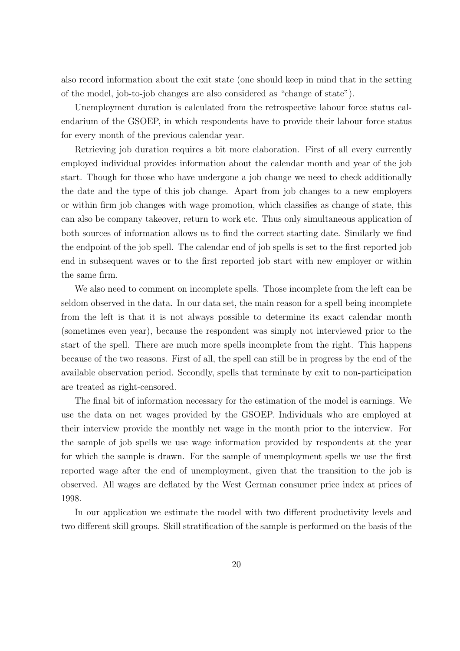also record information about the exit state (one should keep in mind that in the setting of the model, job-to-job changes are also considered as "change of state").

Unemployment duration is calculated from the retrospective labour force status calendarium of the GSOEP, in which respondents have to provide their labour force status for every month of the previous calendar year.

Retrieving job duration requires a bit more elaboration. First of all every currently employed individual provides information about the calendar month and year of the job start. Though for those who have undergone a job change we need to check additionally the date and the type of this job change. Apart from job changes to a new employers or within firm job changes with wage promotion, which classifies as change of state, this can also be company takeover, return to work etc. Thus only simultaneous application of both sources of information allows us to find the correct starting date. Similarly we find the endpoint of the job spell. The calendar end of job spells is set to the first reported job end in subsequent waves or to the first reported job start with new employer or within the same firm.

We also need to comment on incomplete spells. Those incomplete from the left can be seldom observed in the data. In our data set, the main reason for a spell being incomplete from the left is that it is not always possible to determine its exact calendar month (sometimes even year), because the respondent was simply not interviewed prior to the start of the spell. There are much more spells incomplete from the right. This happens because of the two reasons. First of all, the spell can still be in progress by the end of the available observation period. Secondly, spells that terminate by exit to non-participation are treated as right-censored.

The final bit of information necessary for the estimation of the model is earnings. We use the data on net wages provided by the GSOEP. Individuals who are employed at their interview provide the monthly net wage in the month prior to the interview. For the sample of job spells we use wage information provided by respondents at the year for which the sample is drawn. For the sample of unemployment spells we use the first reported wage after the end of unemployment, given that the transition to the job is observed. All wages are deflated by the West German consumer price index at prices of 1998.

In our application we estimate the model with two different productivity levels and two different skill groups. Skill stratification of the sample is performed on the basis of the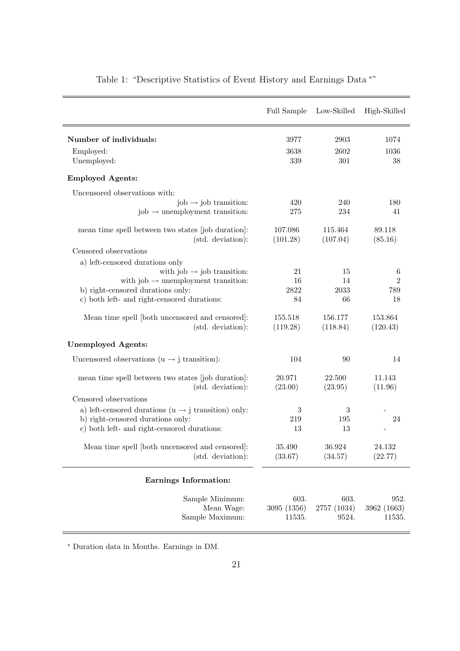|                                                                                           | Full Sample         | Low-Skilled         | High-Skilled        |
|-------------------------------------------------------------------------------------------|---------------------|---------------------|---------------------|
| Number of individuals:                                                                    | 3977                | 2903                | 1074                |
| Employed:<br>Unemployed:                                                                  | 3638<br>339         | 2602<br>301         | 1036<br>38          |
| <b>Employed Agents:</b>                                                                   |                     |                     |                     |
| Uncensored observations with:                                                             |                     |                     |                     |
| $job \rightarrow job$ transition:<br>$job \rightarrow$ unemployment transition:           | 420<br>275          | 240<br>234          | 180<br>41           |
| mean time spell between two states [job duration]:<br>(std. deviation):                   | 107.086<br>(101.28) | 115.464<br>(107.04) | 89.118<br>(85.16)   |
| Censored observations                                                                     |                     |                     |                     |
| a) left-censored durations only                                                           |                     |                     |                     |
| with job $\rightarrow$ job transition:<br>with job $\rightarrow$ unemployment transition: | 21<br>16            | 15<br>14            | 6<br>$\overline{2}$ |
| b) right-censored durations only:                                                         | 2822                | 2033                | 789                 |
| c) both left- and right-censored durations:                                               | 84                  | 66                  | 18                  |
| Mean time spell [both uncensored and censored]:<br>(std. deviation):                      | 155.518<br>(119.28) | 156.177<br>(118.84) | 153.864<br>(120.43) |
| <b>Unemployed Agents:</b>                                                                 |                     |                     |                     |
| Uncensored observations ( $u \rightarrow j$ transition):                                  | 104                 | 90                  | 14                  |
| mean time spell between two states [job duration]:                                        | 20.971              | 22.500              | 11.143              |
| (std. deviation):                                                                         | (23.00)             | (23.95)             | (11.96)             |
| Censored observations                                                                     |                     |                     |                     |
| a) left-censored durations ( $u \rightarrow j$ transition) only:                          | 3                   | 3                   |                     |
| b) right-censored durations only:                                                         | 219                 | 195                 | 24                  |
| c) both left- and right-censored durations:                                               | 13                  | 13                  |                     |
| Mean time spell [both uncensored and censored]:                                           | 35.490              | $36.924\,$          | 24.132              |
| (std. deviation):                                                                         | (33.67)             | (34.57)             | (22.77)             |
| <b>Earnings Information:</b>                                                              |                     |                     |                     |
| Sample Minimum:                                                                           | 603.                | 603.                | 952.                |
| Mean Wage:                                                                                | 3095 (1356)         | 2757 (1034)         | 3962 (1663)         |
| Sample Maximum:                                                                           | 11535.              | 9524.               | 11535.              |

Table 1: "Descriptive Statistics of Event History and Earnings Data \*"

<sup>∗</sup> Duration data in Months. Earnings in DM.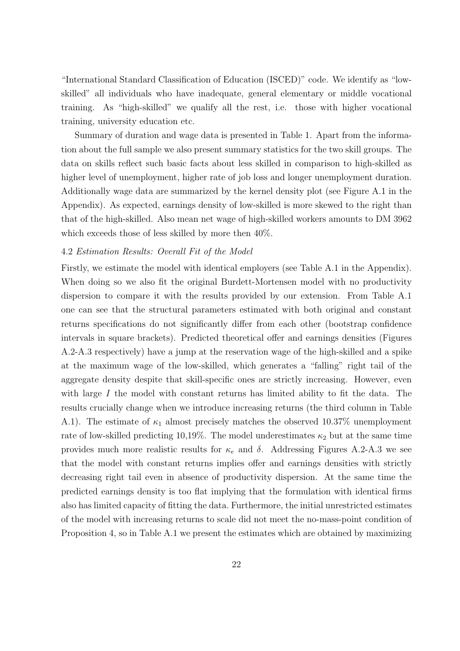"International Standard Classification of Education (ISCED)" code. We identify as "lowskilled" all individuals who have inadequate, general elementary or middle vocational training. As "high-skilled" we qualify all the rest, i.e. those with higher vocational training, university education etc.

Summary of duration and wage data is presented in Table 1. Apart from the information about the full sample we also present summary statistics for the two skill groups. The data on skills reflect such basic facts about less skilled in comparison to high-skilled as higher level of unemployment, higher rate of job loss and longer unemployment duration. Additionally wage data are summarized by the kernel density plot (see Figure A.1 in the Appendix). As expected, earnings density of low-skilled is more skewed to the right than that of the high-skilled. Also mean net wage of high-skilled workers amounts to DM 3962 which exceeds those of less skilled by more then 40%.

#### 4.2 Estimation Results: Overall Fit of the Model

Firstly, we estimate the model with identical employers (see Table A.1 in the Appendix). When doing so we also fit the original Burdett-Mortensen model with no productivity dispersion to compare it with the results provided by our extension. From Table A.1 one can see that the structural parameters estimated with both original and constant returns specifications do not significantly differ from each other (bootstrap confidence intervals in square brackets). Predicted theoretical offer and earnings densities (Figures A.2-A.3 respectively) have a jump at the reservation wage of the high-skilled and a spike at the maximum wage of the low-skilled, which generates a "falling" right tail of the aggregate density despite that skill-specific ones are strictly increasing. However, even with large  $I$  the model with constant returns has limited ability to fit the data. The results crucially change when we introduce increasing returns (the third column in Table A.1). The estimate of  $\kappa_1$  almost precisely matches the observed 10.37% unemployment rate of low-skilled predicting 10,19%. The model underestimates  $\kappa_2$  but at the same time provides much more realistic results for  $\kappa_e$  and  $\delta$ . Addressing Figures A.2-A.3 we see that the model with constant returns implies offer and earnings densities with strictly decreasing right tail even in absence of productivity dispersion. At the same time the predicted earnings density is too flat implying that the formulation with identical firms also has limited capacity of fitting the data. Furthermore, the initial unrestricted estimates of the model with increasing returns to scale did not meet the no-mass-point condition of Proposition 4, so in Table A.1 we present the estimates which are obtained by maximizing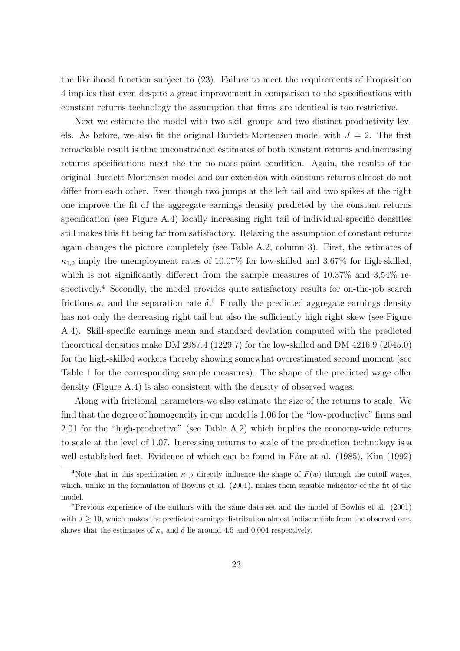the likelihood function subject to (23). Failure to meet the requirements of Proposition 4 implies that even despite a great improvement in comparison to the specifications with constant returns technology the assumption that firms are identical is too restrictive.

Next we estimate the model with two skill groups and two distinct productivity levels. As before, we also fit the original Burdett-Mortensen model with  $J = 2$ . The first remarkable result is that unconstrained estimates of both constant returns and increasing returns specifications meet the the no-mass-point condition. Again, the results of the original Burdett-Mortensen model and our extension with constant returns almost do not differ from each other. Even though two jumps at the left tail and two spikes at the right one improve the fit of the aggregate earnings density predicted by the constant returns specification (see Figure A.4) locally increasing right tail of individual-specific densities still makes this fit being far from satisfactory. Relaxing the assumption of constant returns again changes the picture completely (see Table A.2, column 3). First, the estimates of  $\kappa_{1,2}$  imply the unemployment rates of 10.07% for low-skilled and 3,67% for high-skilled, which is not significantly different from the sample measures of 10.37% and 3,54% respectively.<sup>4</sup> Secondly, the model provides quite satisfactory results for on-the-job search frictions  $\kappa_e$  and the separation rate  $\delta$ <sup>5</sup>. Finally the predicted aggregate earnings density has not only the decreasing right tail but also the sufficiently high right skew (see Figure A.4). Skill-specific earnings mean and standard deviation computed with the predicted theoretical densities make DM 2987.4 (1229.7) for the low-skilled and DM 4216.9 (2045.0) for the high-skilled workers thereby showing somewhat overestimated second moment (see Table 1 for the corresponding sample measures). The shape of the predicted wage offer density (Figure A.4) is also consistent with the density of observed wages.

Along with frictional parameters we also estimate the size of the returns to scale. We find that the degree of homogeneity in our model is 1.06 for the "low-productive" firms and 2.01 for the "high-productive" (see Table A.2) which implies the economy-wide returns to scale at the level of 1.07. Increasing returns to scale of the production technology is a well-established fact. Evidence of which can be found in Färe at al.  $(1985)$ , Kim  $(1992)$ 

<sup>&</sup>lt;sup>4</sup>Note that in this specification  $\kappa_{1,2}$  directly influence the shape of  $F(w)$  through the cutoff wages, which, unlike in the formulation of Bowlus et al. (2001), makes them sensible indicator of the fit of the model.

 $5$ Previous experience of the authors with the same data set and the model of Bowlus et al. (2001) with  $J \geq 10$ , which makes the predicted earnings distribution almost indiscernible from the observed one, shows that the estimates of  $\kappa_e$  and  $\delta$  lie around 4.5 and 0.004 respectively.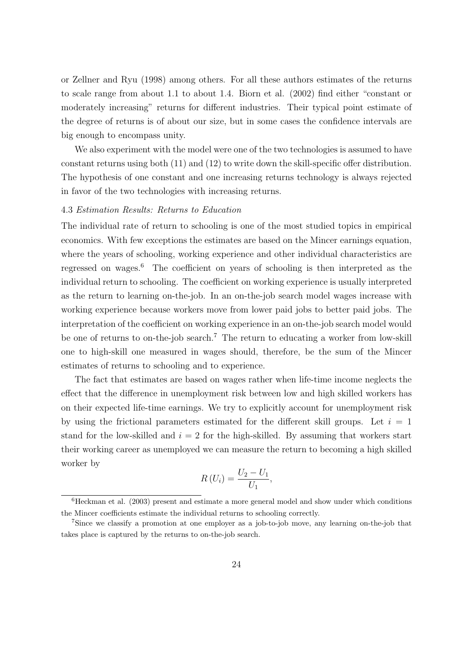or Zellner and Ryu (1998) among others. For all these authors estimates of the returns to scale range from about 1.1 to about 1.4. Biorn et al. (2002) find either "constant or moderately increasing" returns for different industries. Their typical point estimate of the degree of returns is of about our size, but in some cases the confidence intervals are big enough to encompass unity.

We also experiment with the model were one of the two technologies is assumed to have constant returns using both (11) and (12) to write down the skill-specific offer distribution. The hypothesis of one constant and one increasing returns technology is always rejected in favor of the two technologies with increasing returns.

#### 4.3 Estimation Results: Returns to Education

The individual rate of return to schooling is one of the most studied topics in empirical economics. With few exceptions the estimates are based on the Mincer earnings equation, where the years of schooling, working experience and other individual characteristics are regressed on wages.<sup>6</sup> The coefficient on years of schooling is then interpreted as the individual return to schooling. The coefficient on working experience is usually interpreted as the return to learning on-the-job. In an on-the-job search model wages increase with working experience because workers move from lower paid jobs to better paid jobs. The interpretation of the coefficient on working experience in an on-the-job search model would be one of returns to on-the-job search.<sup>7</sup> The return to educating a worker from low-skill one to high-skill one measured in wages should, therefore, be the sum of the Mincer estimates of returns to schooling and to experience.

The fact that estimates are based on wages rather when life-time income neglects the effect that the difference in unemployment risk between low and high skilled workers has on their expected life-time earnings. We try to explicitly account for unemployment risk by using the frictional parameters estimated for the different skill groups. Let  $i = 1$ stand for the low-skilled and  $i = 2$  for the high-skilled. By assuming that workers start their working career as unemployed we can measure the return to becoming a high skilled worker by

$$
R\left(U_i\right) = \frac{U_2 - U_1}{U_1},
$$

<sup>6</sup>Heckman et al. (2003) present and estimate a more general model and show under which conditions the Mincer coefficients estimate the individual returns to schooling correctly.

<sup>7</sup>Since we classify a promotion at one employer as a job-to-job move, any learning on-the-job that takes place is captured by the returns to on-the-job search.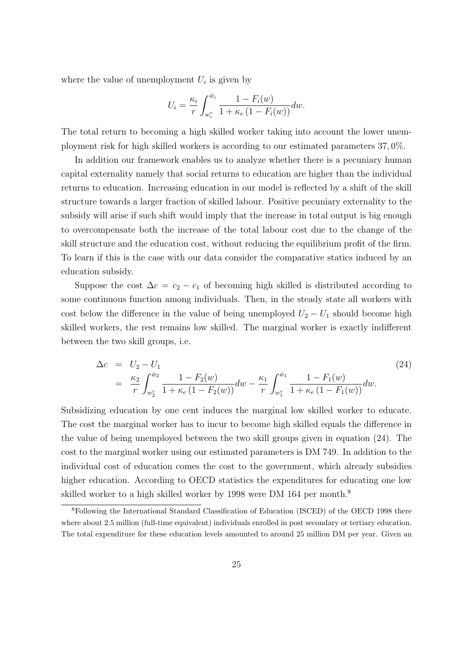where the value of unemployment  $U_i$  is given by

$$
U_i = \frac{\kappa_i}{r} \int_{w_i^r}^{\bar{w}_i} \frac{1 - F_i(w)}{1 + \kappa_e (1 - F_i(w))} dw.
$$

The total return to becoming a high skilled worker taking into account the lower unemployment risk for high skilled workers is according to our estimated parameters 37, 0%.

In addition our framework enables us to analyze whether there is a pecuniary human capital externality namely that social returns to education are higher than the individual returns to education. Increasing education in our model is reflected by a shift of the skill structure towards a larger fraction of skilled labour. Positive pecuniary externality to the subsidy will arise if such shift would imply that the increase in total output is big enough to overcompensate both the increase of the total labour cost due to the change of the skill structure and the education cost, without reducing the equilibrium profit of the firm. To learn if this is the case with our data consider the comparative statics induced by an education subsidy.

Suppose the cost  $\Delta c = c_2 - c_1$  of becoming high skilled is distributed according to some continuous function among individuals. Then, in the steady state all workers with cost below the difference in the value of being unemployed  $U_2 - U_1$  should become high skilled workers, the rest remains low skilled. The marginal worker is exactly indifferent between the two skill groups, i.e.

$$
\Delta c = U_2 - U_1
$$
\n
$$
= \frac{\kappa_2}{r} \int_{w_2^r}^{\bar{w}_2} \frac{1 - F_2(w)}{1 + \kappa_e (1 - F_2(w))} dw - \frac{\kappa_1}{r} \int_{w_1^r}^{\bar{w}_1} \frac{1 - F_1(w)}{1 + \kappa_e (1 - F_1(w))} dw.
$$
\n(24)

Subsidizing education by one cent induces the marginal low skilled worker to educate. The cost the marginal worker has to incur to become high skilled equals the difference in the value of being unemployed between the two skill groups given in equation (24). The cost to the marginal worker using our estimated parameters is DM 749. In addition to the individual cost of education comes the cost to the government, which already subsidies higher education. According to OECD statistics the expenditures for educating one low skilled worker to a high skilled worker by 1998 were DM 164 per month.<sup>8</sup>

<sup>8</sup>Following the International Standard Classification of Education (ISCED) of the OECD 1998 there where about 2.5 million (full-time equivalent) individuals enrolled in post secondary or tertiary education. The total expenditure for these education levels amounted to around 25 million DM per year. Given an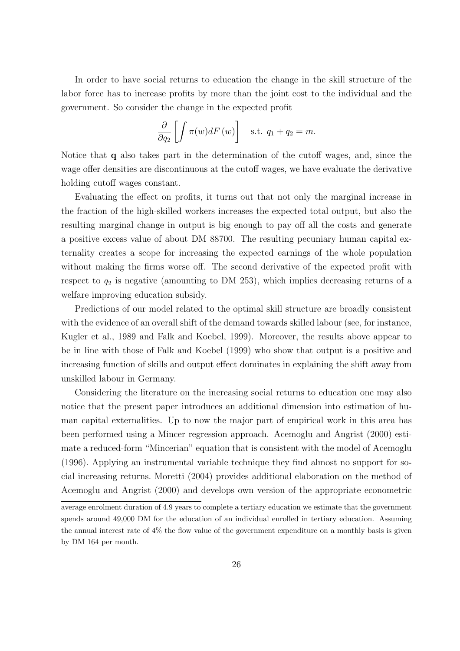In order to have social returns to education the change in the skill structure of the labor force has to increase profits by more than the joint cost to the individual and the government. So consider the change in the expected profit

$$
\frac{\partial}{\partial q_2} \left[ \int \pi(w) dF(w) \right] \quad \text{s.t. } q_1 + q_2 = m.
$$

Notice that q also takes part in the determination of the cutoff wages, and, since the wage offer densities are discontinuous at the cutoff wages, we have evaluate the derivative holding cutoff wages constant.

Evaluating the effect on profits, it turns out that not only the marginal increase in the fraction of the high-skilled workers increases the expected total output, but also the resulting marginal change in output is big enough to pay off all the costs and generate a positive excess value of about DM 88700. The resulting pecuniary human capital externality creates a scope for increasing the expected earnings of the whole population without making the firms worse off. The second derivative of the expected profit with respect to  $q_2$  is negative (amounting to DM 253), which implies decreasing returns of a welfare improving education subsidy.

Predictions of our model related to the optimal skill structure are broadly consistent with the evidence of an overall shift of the demand towards skilled labour (see, for instance, Kugler et al., 1989 and Falk and Koebel, 1999). Moreover, the results above appear to be in line with those of Falk and Koebel (1999) who show that output is a positive and increasing function of skills and output effect dominates in explaining the shift away from unskilled labour in Germany.

Considering the literature on the increasing social returns to education one may also notice that the present paper introduces an additional dimension into estimation of human capital externalities. Up to now the major part of empirical work in this area has been performed using a Mincer regression approach. Acemoglu and Angrist (2000) estimate a reduced-form "Mincerian" equation that is consistent with the model of Acemoglu (1996). Applying an instrumental variable technique they find almost no support for social increasing returns. Moretti (2004) provides additional elaboration on the method of Acemoglu and Angrist (2000) and develops own version of the appropriate econometric

average enrolment duration of 4.9 years to complete a tertiary education we estimate that the government spends around 49,000 DM for the education of an individual enrolled in tertiary education. Assuming the annual interest rate of 4% the flow value of the government expenditure on a monthly basis is given by DM 164 per month.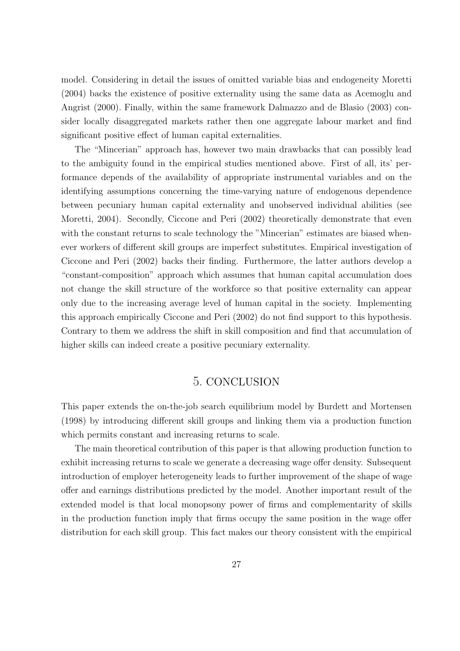model. Considering in detail the issues of omitted variable bias and endogeneity Moretti (2004) backs the existence of positive externality using the same data as Acemoglu and Angrist (2000). Finally, within the same framework Dalmazzo and de Blasio (2003) consider locally disaggregated markets rather then one aggregate labour market and find significant positive effect of human capital externalities.

The "Mincerian" approach has, however two main drawbacks that can possibly lead to the ambiguity found in the empirical studies mentioned above. First of all, its' performance depends of the availability of appropriate instrumental variables and on the identifying assumptions concerning the time-varying nature of endogenous dependence between pecuniary human capital externality and unobserved individual abilities (see Moretti, 2004). Secondly, Ciccone and Peri (2002) theoretically demonstrate that even with the constant returns to scale technology the "Mincerian" estimates are biased whenever workers of different skill groups are imperfect substitutes. Empirical investigation of Ciccone and Peri (2002) backs their finding. Furthermore, the latter authors develop a "constant-composition" approach which assumes that human capital accumulation does not change the skill structure of the workforce so that positive externality can appear only due to the increasing average level of human capital in the society. Implementing this approach empirically Ciccone and Peri (2002) do not find support to this hypothesis. Contrary to them we address the shift in skill composition and find that accumulation of higher skills can indeed create a positive pecuniary externality.

## 5. CONCLUSION

This paper extends the on-the-job search equilibrium model by Burdett and Mortensen (1998) by introducing different skill groups and linking them via a production function which permits constant and increasing returns to scale.

The main theoretical contribution of this paper is that allowing production function to exhibit increasing returns to scale we generate a decreasing wage offer density. Subsequent introduction of employer heterogeneity leads to further improvement of the shape of wage offer and earnings distributions predicted by the model. Another important result of the extended model is that local monopsony power of firms and complementarity of skills in the production function imply that firms occupy the same position in the wage offer distribution for each skill group. This fact makes our theory consistent with the empirical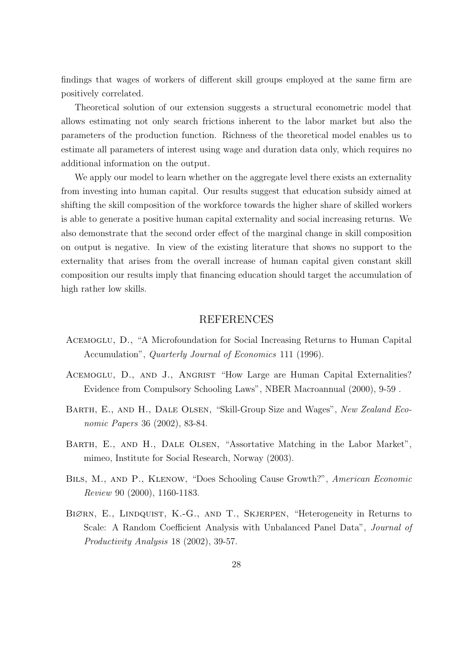findings that wages of workers of different skill groups employed at the same firm are positively correlated.

Theoretical solution of our extension suggests a structural econometric model that allows estimating not only search frictions inherent to the labor market but also the parameters of the production function. Richness of the theoretical model enables us to estimate all parameters of interest using wage and duration data only, which requires no additional information on the output.

We apply our model to learn whether on the aggregate level there exists an externality from investing into human capital. Our results suggest that education subsidy aimed at shifting the skill composition of the workforce towards the higher share of skilled workers is able to generate a positive human capital externality and social increasing returns. We also demonstrate that the second order effect of the marginal change in skill composition on output is negative. In view of the existing literature that shows no support to the externality that arises from the overall increase of human capital given constant skill composition our results imply that financing education should target the accumulation of high rather low skills.

### REFERENCES

- Acemoglu, D., "A Microfoundation for Social Increasing Returns to Human Capital Accumulation", *Quarterly Journal of Economics* 111 (1996).
- ACEMOGLU, D., AND J., ANGRIST "How Large are Human Capital Externalities? Evidence from Compulsory Schooling Laws", NBER Macroannual (2000), 9-59 .
- Barth, E., and H., Dale Olsen, "Skill-Group Size and Wages", New Zealand Economic Papers 36 (2002), 83-84.
- Barth, E., and H., Dale Olsen, "Assortative Matching in the Labor Market", mimeo, Institute for Social Research, Norway (2003).
- Bils, M., and P., Klenow, "Does Schooling Cause Growth?", American Economic Review 90 (2000), 1160-1183.
- BIØRN, E., LINDQUIST, K.-G., AND T., SKJERPEN, "Heterogeneity in Returns to Scale: A Random Coefficient Analysis with Unbalanced Panel Data", Journal of Productivity Analysis 18 (2002), 39-57.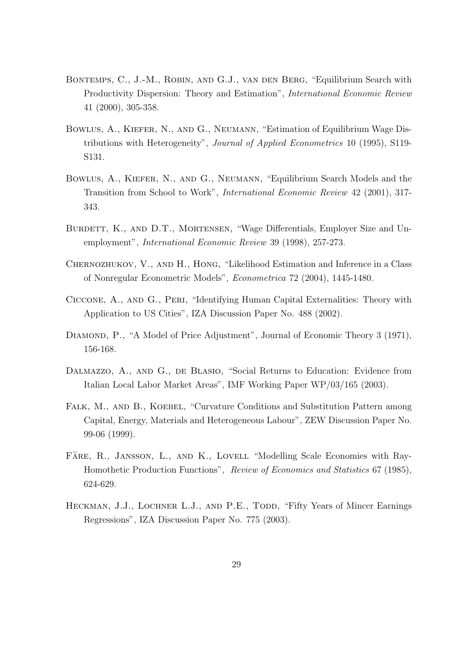- Bontemps, C., J.-M., Robin, and G.J., van den Berg, "Equilibrium Search with Productivity Dispersion: Theory and Estimation", International Economic Review 41 (2000), 305-358.
- Bowlus, A., Kiefer, N., and G., Neumann, "Estimation of Equilibrium Wage Distributions with Heterogeneity", Journal of Applied Econometrics 10 (1995), S119- S131.
- Bowlus, A., Kiefer, N., and G., Neumann, "Equilibrium Search Models and the Transition from School to Work", International Economic Review 42 (2001), 317- 343.
- BURDETT, K., AND D.T., MORTENSEN, "Wage Differentials, Employer Size and Unemployment", International Economic Review 39 (1998), 257-273.
- Chernozhukov, V., and H., Hong, "Likelihood Estimation and Inference in a Class of Nonregular Econometric Models", Econometrica 72 (2004), 1445-1480.
- Ciccone, A., and G., Peri, "Identifying Human Capital Externalities: Theory with Application to US Cities", IZA Discussion Paper No. 488 (2002).
- DIAMOND, P., "A Model of Price Adjustment", Journal of Economic Theory 3 (1971), 156-168.
- DALMAZZO, A., AND G., DE BLASIO, "Social Returns to Education: Evidence from Italian Local Labor Market Areas", IMF Working Paper WP/03/165 (2003).
- FALK, M., AND B., KOEBEL, "Curvature Conditions and Substitution Pattern among Capital, Energy, Materials and Heterogeneous Labour", ZEW Discussion Paper No. 99-06 (1999).
- FÄRE, R., JANSSON, L., AND K., LOVELL "Modelling Scale Economies with Ray-Homothetic Production Functions", Review of Economics and Statistics 67 (1985), 624-629.
- HECKMAN, J.J., LOCHNER L.J., AND P.E., TODD, "Fifty Years of Mincer Earnings Regressions", IZA Discussion Paper No. 775 (2003).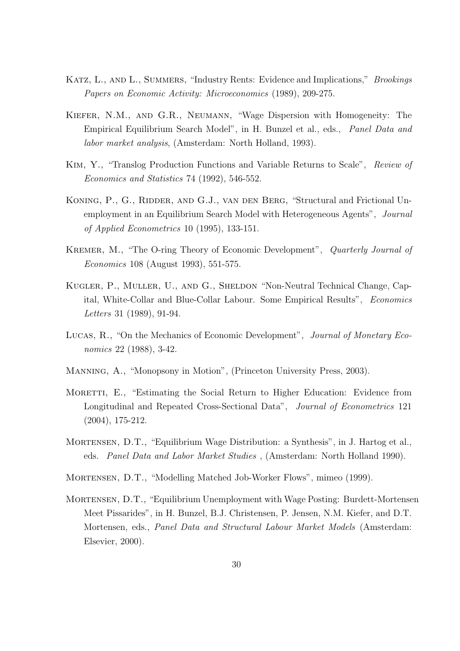- KATZ, L., AND L., SUMMERS, "Industry Rents: Evidence and Implications," Brookings Papers on Economic Activity: Microeconomics (1989), 209-275.
- Kiefer, N.M., and G.R., Neumann, "Wage Dispersion with Homogeneity: The Empirical Equilibrium Search Model", in H. Bunzel et al., eds., Panel Data and labor market analysis, (Amsterdam: North Holland, 1993).
- Kim, Y., "Translog Production Functions and Variable Returns to Scale", Review of Economics and Statistics 74 (1992), 546-552.
- KONING, P., G., RIDDER, AND G.J., VAN DEN BERG, "Structural and Frictional Unemployment in an Equilibrium Search Model with Heterogeneous Agents", *Journal* of Applied Econometrics 10 (1995), 133-151.
- Kremer, M., "The O-ring Theory of Economic Development", Quarterly Journal of Economics 108 (August 1993), 551-575.
- Kugler, P., Muller, U., and G., Sheldon "Non-Neutral Technical Change, Capital, White-Collar and Blue-Collar Labour. Some Empirical Results", Economics Letters 31 (1989), 91-94.
- Lucas, R., "On the Mechanics of Economic Development", Journal of Monetary Economics 22 (1988), 3-42.
- Manning, A., "Monopsony in Motion", (Princeton University Press, 2003).
- MORETTI, E., "Estimating the Social Return to Higher Education: Evidence from Longitudinal and Repeated Cross-Sectional Data", Journal of Econometrics 121 (2004), 175-212.
- Mortensen, D.T., "Equilibrium Wage Distribution: a Synthesis", in J. Hartog et al., eds. Panel Data and Labor Market Studies , (Amsterdam: North Holland 1990).
- Mortensen, D.T., "Modelling Matched Job-Worker Flows", mimeo (1999).
- Mortensen, D.T., "Equilibrium Unemployment with Wage Posting: Burdett-Mortensen Meet Pissarides", in H. Bunzel, B.J. Christensen, P. Jensen, N.M. Kiefer, and D.T. Mortensen, eds., Panel Data and Structural Labour Market Models (Amsterdam: Elsevier, 2000).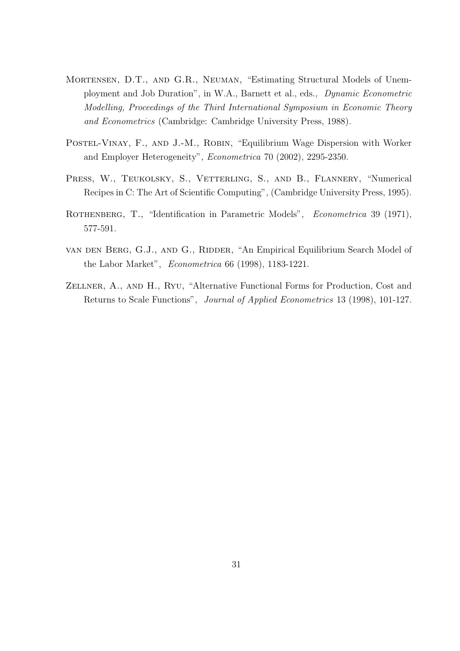- Mortensen, D.T., and G.R., Neuman, "Estimating Structural Models of Unemployment and Job Duration", in W.A., Barnett et al., eds., Dynamic Econometric Modelling, Proceedings of the Third International Symposium in Economic Theory and Econometrics (Cambridge: Cambridge University Press, 1988).
- POSTEL-VINAY, F., AND J.-M., ROBIN, "Equilibrium Wage Dispersion with Worker and Employer Heterogeneity", Econometrica 70 (2002), 2295-2350.
- PRESS, W., TEUKOLSKY, S., VETTERLING, S., AND B., FLANNERY, "Numerical Recipes in C: The Art of Scientific Computing", (Cambridge University Press, 1995).
- ROTHENBERG, T., "Identification in Parametric Models", Econometrica 39 (1971), 577-591.
- van den Berg, G.J., and G., Ridder, "An Empirical Equilibrium Search Model of the Labor Market", Econometrica 66 (1998), 1183-1221.
- Zellner, A., and H., Ryu, "Alternative Functional Forms for Production, Cost and Returns to Scale Functions", Journal of Applied Econometrics 13 (1998), 101-127.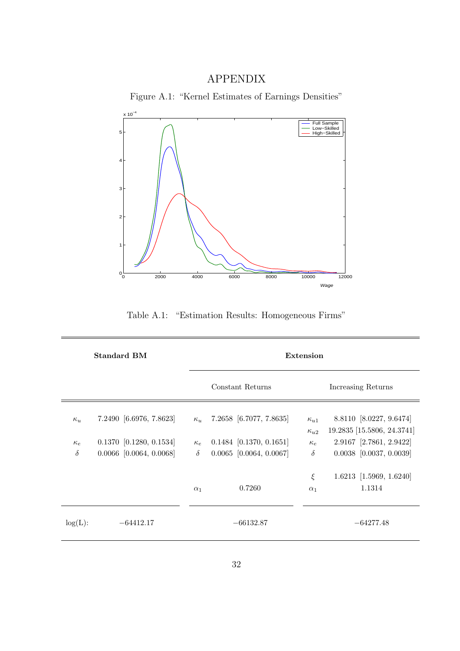## APPENDIX



Figure A.1: "Kernel Estimates of Earnings Densities"

Table A.1: "Estimation Results: Homogeneous Firms"

| <b>Standard BM</b> |                           |            | Extension                 |                                |                                                       |  |
|--------------------|---------------------------|------------|---------------------------|--------------------------------|-------------------------------------------------------|--|
|                    |                           |            | Constant Returns          | Increasing Returns             |                                                       |  |
| $\kappa_u$         | 7.2490 [6.6976, 7.8623]   | $\kappa_u$ | 7.2658 [6.7077, 7.8635]   | $\kappa_{u1}$<br>$\kappa_{u2}$ | 8.8110 [8.0227, 9.6474]<br>19.2835 [15.5806, 24.3741] |  |
| $\kappa_e$         | $0.1370$ [0.1280, 0.1534] | $\kappa_e$ | $0.1484$ [0.1370, 0.1651] | $\kappa_e$                     | 2.9167 [2.7861, 2.9422]                               |  |
| $\delta$           | $0.0066$ [0.0064, 0.0068] | $\delta$   | $0.0065$ [0.0064, 0.0067] | $\delta$                       | $0.0038$ [0.0037, 0.0039]                             |  |
|                    |                           |            |                           | ξ                              | $1.6213$ [1.5969, 1.6240]                             |  |
|                    |                           | $\alpha_1$ | 0.7260                    | $\alpha_1$                     | 1.1314                                                |  |
| $log(L)$ :         | $-64412.17$               |            | $-66132.87$               |                                | $-64277.48$                                           |  |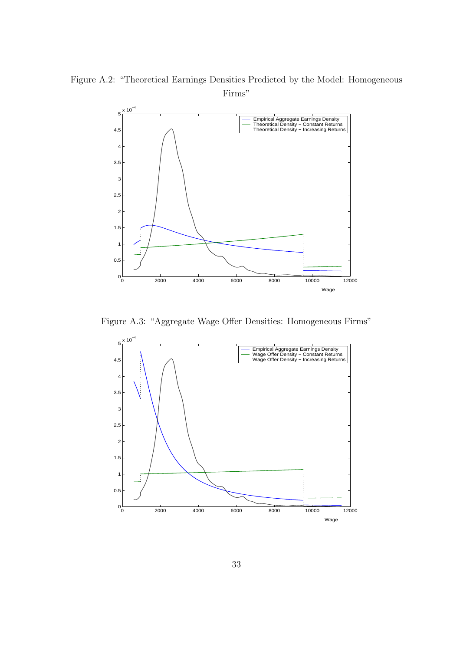Figure A.2: "Theoretical Earnings Densities Predicted by the Model: Homogeneous Firms"



Figure A.3: "Aggregate Wage Offer Densities: Homogeneous Firms"

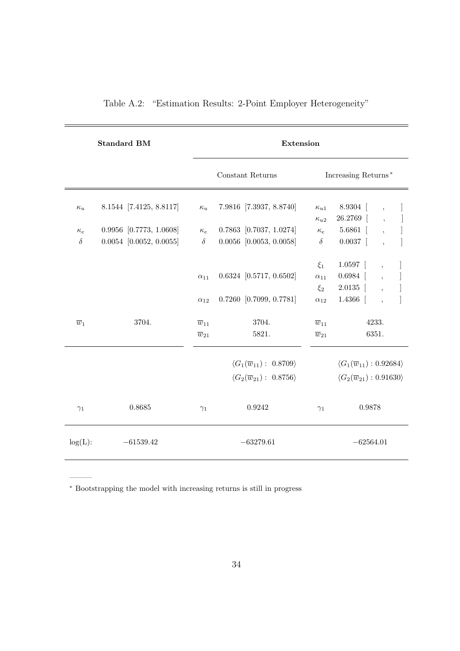| <b>Standard BM</b> |                           |                     | Extension                                         |                                                    |                                                    |                          |  |  |
|--------------------|---------------------------|---------------------|---------------------------------------------------|----------------------------------------------------|----------------------------------------------------|--------------------------|--|--|
|                    |                           |                     | Constant Returns                                  | Increasing Returns*                                |                                                    |                          |  |  |
| $\kappa_u$         | 8.1544 [7.4125, 8.8117]   | $\kappa_u$          | 7.9816 [7.3937, 8.8740]                           | $\kappa_{u1}$                                      | $8.9304$ [                                         | $\overline{\phantom{a}}$ |  |  |
|                    |                           |                     |                                                   | $\kappa_{u2}$                                      | 26.2769 [                                          | $\ddot{\phantom{1}}$     |  |  |
| $\kappa_e$         | $0.9956$ [0.7773, 1.0608] | $\kappa_e$          | $0.7863$ [0.7037, 1.0274]                         | $\kappa_e$                                         | $5.6861$ [                                         | $\ddot{\phantom{0}}$     |  |  |
| $\delta$           | $0.0054$ [0.0052, 0.0055] | $\delta$            | $0.0056$ [0.0053, 0.0058]                         | $\delta$                                           | $0.0037$ [                                         |                          |  |  |
|                    |                           |                     |                                                   | $\xi_1$                                            | $1.0597$ [                                         | $\overline{ }$ ,         |  |  |
|                    |                           | $\alpha_{11}$       | $0.6324$ [0.5717, 0.6502]                         | $\alpha_{11}$                                      | $0.6984$ [                                         | $\ddot{\phantom{0}}$     |  |  |
|                    |                           |                     |                                                   | $\xi_2$                                            | 2.0135                                             | $\ddot{\phantom{0}}$     |  |  |
|                    |                           | $\alpha_{12}$       | $0.7260$ [0.7099, 0.7781]                         | $\alpha_{12}$                                      | 1.4366                                             |                          |  |  |
| $\overline{w}_1$   | 3704.                     | $\overline{w}_{11}$ | 3704.                                             | $\overline{w}_{11}$                                | 4233.                                              |                          |  |  |
|                    |                           | $\overline{w}_{21}$ | 5821.                                             | $\overline{w}_{21}$                                | 6351.                                              |                          |  |  |
|                    |                           |                     | $\langle G_1(\overline{w}_{11}):\ 0.8709\rangle$  |                                                    | $\langle G_1(\overline{w}_{11}) : 0.92684 \rangle$ |                          |  |  |
|                    |                           |                     | $\langle G_2(\overline{w}_{21}) : 0.8756 \rangle$ | $\langle G_2(\overline{w}_{21}) : 0.91630 \rangle$ |                                                    |                          |  |  |
| $\gamma_1$         | 0.8685                    | $\gamma_1$          | 0.9242                                            | 0.9878<br>$\gamma_1$                               |                                                    |                          |  |  |
| $log(L)$ :         | $-61539.42$               |                     | $-63279.61$                                       |                                                    | $-62564.01$                                        |                          |  |  |

Table A.2: "Estimation Results: 2-Point Employer Heterogeneity"

<sup>∗</sup> Bootstrapping the model with increasing returns is still in progress

———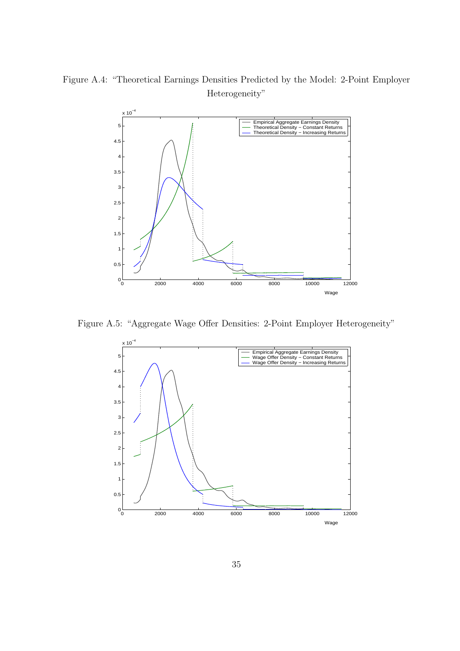



Figure A.5: "Aggregate Wage Offer Densities: 2-Point Employer Heterogeneity"

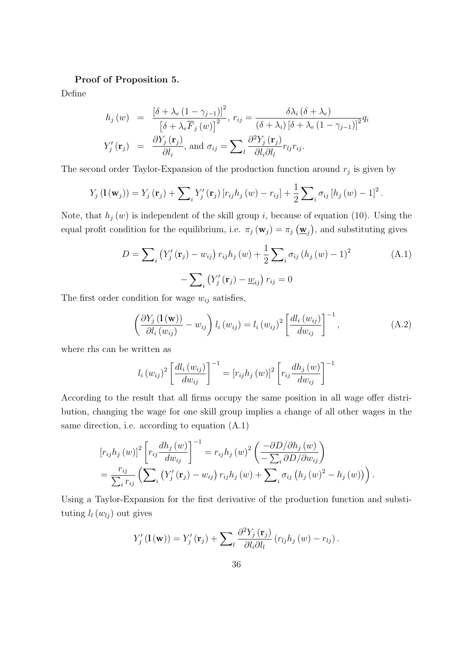#### Proof of Proposition 5.

Define

$$
h_j(w) = \frac{\left[\delta + \lambda_e (1 - \gamma_{j-1})\right]^2}{\left[\delta + \lambda_e \overline{F}_j(w)\right]^2}, r_{ij} = \frac{\delta \lambda_i (\delta + \lambda_e)}{(\delta + \lambda_i) \left[\delta + \lambda_e (1 - \gamma_{j-1})\right]^2} q_i
$$
  

$$
Y'_j(\mathbf{r}_j) = \frac{\partial Y_j(\mathbf{r}_j)}{\partial l_i}, \text{ and } \sigma_{ij} = \sum_l \frac{\partial^2 Y_j(\mathbf{r}_j)}{\partial l_i \partial l_l} r_{lj} r_{ij}.
$$

The second order Taylor-Expansion of the production function around  $r_j$  is given by

$$
Y_j(\mathbf{1}(\mathbf{w}_j)) = Y_j(\mathbf{r}_j) + \sum_i Y'_j(\mathbf{r}_j) [r_{ij}h_j(w) - r_{ij}] + \frac{1}{2} \sum_i \sigma_{ij} [h_j(w) - 1]^2.
$$

Note, that  $h_j(w)$  is independent of the skill group *i*, because of equation (10). Using the equal profit condition for the equilibrium, i.e.  $\pi_j(\mathbf{w}_j) = \pi_j(\underline{\mathbf{w}}_j)$ , and substituting gives

$$
D = \sum_{i} (Y'_{j}(\mathbf{r}_{j}) - w_{ij}) r_{ij} h_{j}(w) + \frac{1}{2} \sum_{i} \sigma_{ij} (h_{j}(w) - 1)^{2}
$$
  
-  $\sum_{i} (Y'_{j}(\mathbf{r}_{j}) - \underline{w}_{ij}) r_{ij} = 0$  (A.1)

The first order condition for wage  $w_{ij}$  satisfies,

$$
\left(\frac{\partial Y_j\left(\mathbf{1}\left(\mathbf{w}\right)\right)}{\partial l_i\left(w_{ij}\right)} - w_{ij}\right)l_i\left(w_{ij}\right) = l_i\left(w_{ij}\right)^2 \left[\frac{dl_i\left(w_{ij}\right)}{dw_{ij}}\right]^{-1},\tag{A.2}
$$

where rhs can be written as

$$
l_i (w_{ij})^2 \left[ \frac{d l_i (w_{ij})}{d w_{ij}} \right]^{-1} = [r_{ij} h_j (w)]^2 \left[ r_{ij} \frac{d h_j (w)}{d w_{ij}} \right]^{-1}
$$

According to the result that all firms occupy the same position in all wage offer distribution, changing the wage for one skill group implies a change of all other wages in the same direction, i.e. according to equation (A.1)

$$
[r_{ij}h_j(w)]^2 \left[ r_{ij} \frac{dh_j(w)}{dw_{ij}} \right]^{-1} = r_{ij}h_j(w)^2 \left( \frac{-\partial D/\partial h_j(w)}{-\sum_i \partial D/\partial w_{ij}} \right)
$$
  
= 
$$
\frac{r_{ij}}{\sum_i r_{ij}} \left( \sum_i (Y'_j(\mathbf{r}_j) - w_{ij}) r_{ij}h_j(w) + \sum_i \sigma_{ij} (h_j(w)^2 - h_j(w)) \right).
$$

Using a Taylor-Expansion for the first derivative of the production function and substituting  $l_l(w_{lj})$  out gives

$$
Y'_{j}(\mathbf{1}(\mathbf{w})) = Y'_{j}(\mathbf{r}_{j}) + \sum_{l} \frac{\partial^{2} Y_{j}(\mathbf{r}_{j})}{\partial l_{i} \partial l_{l}} (r_{lj} h_{j}(w) - r_{lj}).
$$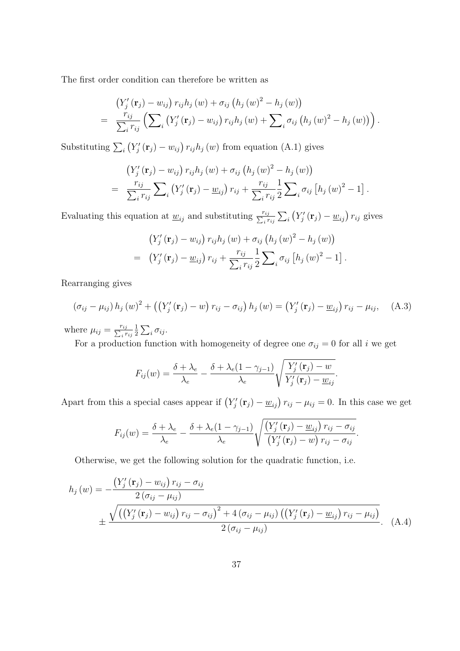The first order condition can therefore be written as

$$
\left(Y'_{j}(\mathbf{r}_{j})-w_{ij}\right) r_{ij}h_{j}(w)+\sigma_{ij}\left(h_{j}(w)^{2}-h_{j}(w)\right) = \frac{r_{ij}}{\sum_{i} r_{ij}} \left(\sum_{i} \left(Y'_{j}(\mathbf{r}_{j})-w_{ij}\right) r_{ij}h_{j}(w)+\sum_{i} \sigma_{ij}\left(h_{j}(w)^{2}-h_{j}(w)\right)\right).
$$

Substituting  $\sum_i$  $Y'_{j}(\mathbf{r}_{j}) - w_{ij}$   $r_{ij}h_{j}(w)$  from equation (A.1) gives

$$
(Y'_{j}(\mathbf{r}_{j}) - w_{ij}) r_{ij} h_{j}(w) + \sigma_{ij} (h_{j}(w)^{2} - h_{j}(w))
$$
  
= 
$$
\frac{r_{ij}}{\sum_{i} r_{ij}} \sum_{i} (Y'_{j}(\mathbf{r}_{j}) - \underline{w}_{ij}) r_{ij} + \frac{r_{ij}}{\sum_{i} r_{ij}} \frac{1}{2} \sum_{i} \sigma_{ij} [h_{j}(w)^{2} - 1]
$$

.

.

.

Evaluating this equation at  $\underline{w}_{ij}$  and substituting  $\frac{r_{ij}}{\sum_i r_{ij}}$  $\overline{ }$ i ¡  $Y'_{j}(\mathbf{r}_{j}) - \underline{w}_{ij}$ )  $r_{ij}$  gives

$$
(Y'_{j}(\mathbf{r}_{j}) - w_{ij}) r_{ij} h_{j}(w) + \sigma_{ij} (h_{j}(w)^{2} - h_{j}(w))
$$
  
=  $(Y'_{j}(\mathbf{r}_{j}) - \underline{w}_{ij}) r_{ij} + \frac{r_{ij}}{\sum_{i} r_{ij}} \frac{1}{2} \sum_{i} \sigma_{ij} [h_{j}(w)^{2} - 1]$ 

Rearranging gives

$$
(\sigma_{ij} - \mu_{ij}) h_j(w)^2 + ((Y'_j(\mathbf{r}_j) - w) r_{ij} - \sigma_{ij}) h_j(w) = (Y'_j(\mathbf{r}_j) - \underline{w}_{ij}) r_{ij} - \mu_{ij}, \quad (A.3)
$$

where  $\mu_{ij} = \frac{r_{ij}}{\sum_i r_{ij}}$ 1 2  $\overline{ }$  $i \sigma_{ij}$ .

For a production function with homogeneity of degree one  $\sigma_{ij} = 0$  for all  $i$  we get

$$
F_{ij}(w) = \frac{\delta + \lambda_e}{\lambda_e} - \frac{\delta + \lambda_e (1 - \gamma_{j-1})}{\lambda_e} \sqrt{\frac{Y'_j(\mathbf{r}_j) - w}{Y'_j(\mathbf{r}_j) - \underline{w}_{ij}}}.
$$

Apart from this a special cases appear if  $(Y'_j(\mathbf{r}_j) - \underline{w}_{ij}) r_{ij} - \mu_{ij} = 0$ . In this case we get

$$
F_{ij}(w) = \frac{\delta + \lambda_e}{\lambda_e} - \frac{\delta + \lambda_e (1 - \gamma_{j-1})}{\lambda_e} \sqrt{\frac{\left(Y'_j(\mathbf{r}_j) - \underline{w}_{ij}\right) r_{ij} - \sigma_{ij}}{\left(Y'_j(\mathbf{r}_j) - \underline{w}\right) r_{ij} - \sigma_{ij}}}
$$

Otherwise, we get the following solution for the quadratic function, i.e.

$$
h_j(w) = -\frac{(Y'_j(\mathbf{r}_j) - w_{ij}) r_{ij} - \sigma_{ij}}{2(\sigma_{ij} - \mu_{ij})} + \frac{\sqrt{((Y'_j(\mathbf{r}_j) - w_{ij}) r_{ij} - \sigma_{ij})^2 + 4(\sigma_{ij} - \mu_{ij}) ((Y'_j(\mathbf{r}_j) - w_{ij}) r_{ij} - \mu_{ij})}}{2(\sigma_{ij} - \mu_{ij})}.
$$
 (A.4)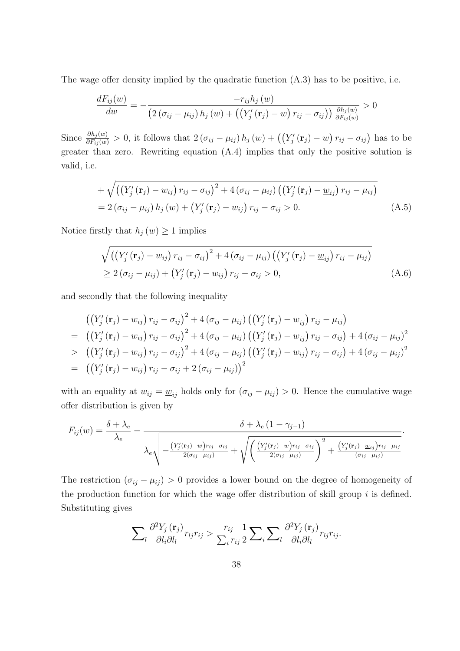The wage offer density implied by the quadratic function (A.3) has to be positive, i.e.

$$
\frac{dF_{ij}(w)}{dw} = -\frac{-r_{ij}h_j(w)}{\left(2\left(\sigma_{ij}-\mu_{ij}\right)h_j(w)+\left(\left(Y'_j\left(\mathbf{r}_j\right)-w\right)r_{ij}-\sigma_{ij}\right)\right)\frac{\partial h_j(w)}{\partial F_{ij}(w)}} > 0
$$

Since  $\frac{\partial h_j(w)}{\partial F_{ij}(w)} > 0$ , it follows that  $2(\sigma_{ij} - \mu_{ij}) h_j(w) + ((Y - \mu_{ij}) \sigma_{ij}(w))$  $\zeta_j'(\mathbf{r}_j) - w$  $(r_{ij} - \sigma_{ij})$  has to be greater than zero. Rewriting equation (A.4) implies that only the positive solution is valid, i.e.

+
$$
\sqrt{\left(\left(Y'_{j}(\mathbf{r}_{j})-w_{ij}\right)r_{ij}-\sigma_{ij}\right)^{2}+4\left(\sigma_{ij}-\mu_{ij}\right)\left(\left(Y'_{j}(\mathbf{r}_{j})-\underline{w}_{ij}\right)r_{ij}-\mu_{ij}\right)}
$$
  
=2 $(\sigma_{ij}-\mu_{ij})h_{j}(w)+\left(Y'_{j}(\mathbf{r}_{j})-w_{ij}\right)r_{ij}-\sigma_{ij}>0.$  (A.5)

Notice firstly that  $h_j(w) \geq 1$  implies

$$
\sqrt{\left(\left(Y'_{j}(\mathbf{r}_{j})-w_{ij}\right)r_{ij}-\sigma_{ij}\right)^{2}+4\left(\sigma_{ij}-\mu_{ij}\right)\left(\left(Y'_{j}(\mathbf{r}_{j})-\underline{w}_{ij}\right)r_{ij}-\mu_{ij}\right)}\geq 2\left(\sigma_{ij}-\mu_{ij}\right)+\left(Y'_{j}(\mathbf{r}_{j})-\underline{w}_{ij}\right)r_{ij}-\sigma_{ij}>0,
$$
\n(A.6)

and secondly that the following inequality

$$
\begin{aligned}\n &\left( \left( Y_j' \left( \mathbf{r}_j \right) - w_{ij} \right) r_{ij} - \sigma_{ij} \right)^2 + 4 \left( \sigma_{ij} - \mu_{ij} \right) \left( \left( Y_j' \left( \mathbf{r}_j \right) - \underline{w}_{ij} \right) r_{ij} - \mu_{ij} \right) \\
 &= \left( \left( Y_j' \left( \mathbf{r}_j \right) - w_{ij} \right) r_{ij} - \sigma_{ij} \right)^2 + 4 \left( \sigma_{ij} - \mu_{ij} \right) \left( \left( Y_j' \left( \mathbf{r}_j \right) - \underline{w}_{ij} \right) r_{ij} - \sigma_{ij} \right) + 4 \left( \sigma_{ij} - \mu_{ij} \right)^2 \\
 &\geq \left( \left( Y_j' \left( \mathbf{r}_j \right) - w_{ij} \right) r_{ij} - \sigma_{ij} \right)^2 + 4 \left( \sigma_{ij} - \mu_{ij} \right) \left( \left( Y_j' \left( \mathbf{r}_j \right) - w_{ij} \right) r_{ij} - \sigma_{ij} \right) + 4 \left( \sigma_{ij} - \mu_{ij} \right)^2 \\
 &= \left( \left( Y_j' \left( \mathbf{r}_j \right) - w_{ij} \right) r_{ij} - \sigma_{ij} + 2 \left( \sigma_{ij} - \mu_{ij} \right) \right)^2\n \end{aligned}
$$

with an equality at  $w_{ij} = \underline{w}_{ij}$  holds only for  $(\sigma_{ij} - \mu_{ij}) > 0$ . Hence the cumulative wage offer distribution is given by

$$
F_{ij}(w) = \frac{\delta + \lambda_e}{\lambda_e} - \frac{\delta + \lambda_e (1 - \gamma_{j-1})}{\lambda_e \sqrt{\frac{\left(Y'_j(\mathbf{r}_j) - w\right) r_{ij} - \sigma_{ij}}{2(\sigma_{ij} - \mu_{ij})} + \sqrt{\left(\frac{\left(Y'_j(\mathbf{r}_j) - w\right) r_{ij} - \sigma_{ij}}{2(\sigma_{ij} - \mu_{ij})}\right)^2 + \frac{\left(Y'_j(\mathbf{r}_j) - \underline{w}_{ij}\right) r_{ij} - \mu_{ij}}{(\sigma_{ij} - \mu_{ij})}}}.
$$

The restriction  $(\sigma_{ij} - \mu_{ij}) > 0$  provides a lower bound on the degree of homogeneity of the production function for which the wage offer distribution of skill group  $i$  is defined. Substituting gives

$$
\sum_{l} \frac{\partial^2 Y_j(\mathbf{r}_j)}{\partial l_i \partial l_l} r_{lj} r_{ij} > \frac{r_{ij}}{\sum_i r_{ij}} \frac{1}{2} \sum_i \sum_{l} \frac{\partial^2 Y_j(\mathbf{r}_j)}{\partial l_i \partial l_l} r_{lj} r_{ij}.
$$